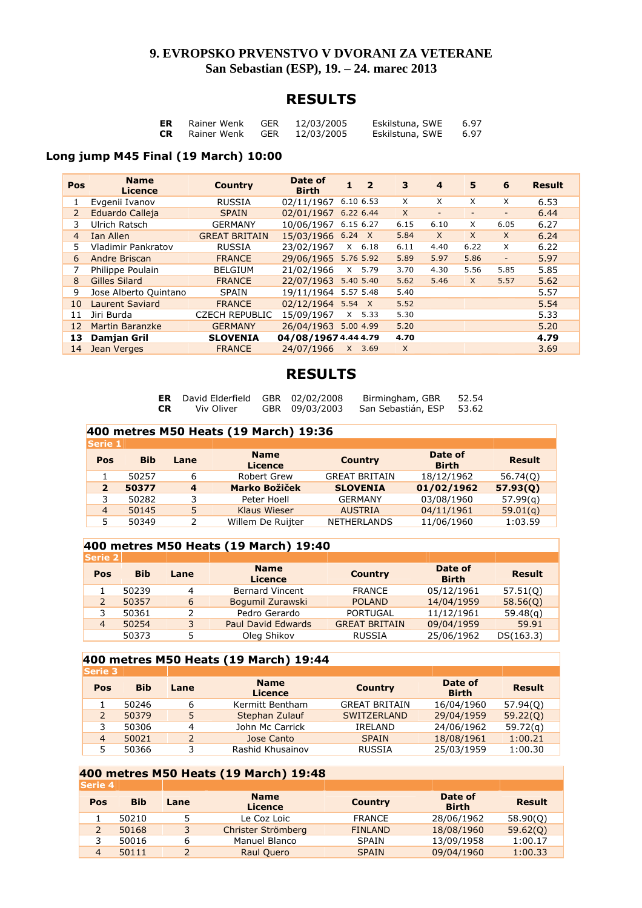### **9. EVROPSKO PRVENSTVO V DVORANI ZA VETERANE San Sebastian (ESP), 19. – 24. marec 2013**

### **RESULTS**

| ER        | Rainer Wenk | <b>GER</b> | 12/03/2005 | Eskilstuna, SWE | 6.97 |
|-----------|-------------|------------|------------|-----------------|------|
| <b>CR</b> | Rainer Wenk | GER        | 12/03/2005 | Eskilstuna, SWE | 6.97 |

#### **Long jump M45 Final (19 March) 10:00**

| Pos            | <b>Name</b><br><b>Licence</b> | <b>Country</b>        | Date of<br><b>Birth</b> | 1         | $\overline{\mathbf{2}}$ | 3        | $\overline{4}$           | 5                        | 6                        | <b>Result</b> |
|----------------|-------------------------------|-----------------------|-------------------------|-----------|-------------------------|----------|--------------------------|--------------------------|--------------------------|---------------|
| 1              | Evgenii Ivanov                | <b>RUSSIA</b>         | 02/11/1967              | 6.10 6.53 |                         | X        | X                        | X                        | X                        | 6.53          |
| $\overline{2}$ | Eduardo Calleja               | <b>SPAIN</b>          | 02/01/1967              | 6.22 6.44 |                         | $\times$ | $\overline{\phantom{a}}$ | $\overline{\phantom{a}}$ | $\overline{\phantom{0}}$ | 6.44          |
| 3              | Ulrich Ratsch                 | <b>GERMANY</b>        | 10/06/1967              | 6.15 6.27 |                         | 6.15     | 6.10                     | X                        | 6.05                     | 6.27          |
| 4              | Ian Allen                     | <b>GREAT BRITAIN</b>  | 15/03/1966 6.24         |           | $\mathsf{X}$            | 5.84     | $\times$                 | $\times$                 | $\times$                 | 6.24          |
| 5              | <b>Vladimir Pankratov</b>     | <b>RUSSIA</b>         | 23/02/1967              | $\times$  | 6.18                    | 6.11     | 4.40                     | 6.22                     | X                        | 6.22          |
| 6              | Andre Briscan                 | <b>FRANCE</b>         | 29/06/1965              | 5.76 5.92 |                         | 5.89     | 5.97                     | 5.86                     | $\overline{\phantom{a}}$ | 5.97          |
| 7              | Philippe Poulain              | <b>BELGIUM</b>        | 21/02/1966              |           | X 5.79                  | 3.70     | 4.30                     | 5.56                     | 5.85                     | 5.85          |
| 8              | <b>Gilles Silard</b>          | <b>FRANCE</b>         | 22/07/1963              |           | 5.40 5.40               | 5.62     | 5.46                     | X                        | 5.57                     | 5.62          |
| 9              | Jose Alberto Quintano         | <b>SPAIN</b>          | 19/11/1964 5.57 5.48    |           |                         | 5.40     |                          |                          |                          | 5.57          |
| 10             | <b>Laurent Saviard</b>        | <b>FRANCE</b>         | 02/12/1964 5.54         |           | $\mathsf{X}$            | 5.52     |                          |                          |                          | 5.54          |
| 11             | Jiri Burda                    | <b>CZECH REPUBLIC</b> | 15/09/1967              |           | $X$ 5.33                | 5.30     |                          |                          |                          | 5.33          |
| 12             | <b>Martin Baranzke</b>        | <b>GERMANY</b>        | 26/04/1963              | 5.00 4.99 |                         | 5.20     |                          |                          |                          | 5.20          |
| 13             | <b>Damjan Gril</b>            | <b>SLOVENIA</b>       | 04/08/1967 4.44 4.79    |           |                         | 4.70     |                          |                          |                          | 4.79          |
| 14             | Jean Verges                   | <b>FRANCE</b>         | 24/07/1966              |           | $X$ 3.69                | $\times$ |                          |                          |                          | 3.69          |

# **RESULTS**

|           | <b>ER</b> David Elderfield GBR 02/02/2008 |                | Birmingham, GBR    | 52.54 |
|-----------|-------------------------------------------|----------------|--------------------|-------|
| <b>CR</b> | Viv Oliver                                | GBR 09/03/2003 | San Sebastián, ESP | 53.62 |

|                | 400 metres M50 Heats (19 March) 19:36 |                         |                               |                      |                         |               |  |  |  |  |  |
|----------------|---------------------------------------|-------------------------|-------------------------------|----------------------|-------------------------|---------------|--|--|--|--|--|
| <b>Serie 1</b> |                                       |                         |                               |                      |                         |               |  |  |  |  |  |
| Pos            | <b>Bib</b>                            | Lane                    | <b>Name</b><br><b>Licence</b> | <b>Country</b>       | Date of<br><b>Birth</b> | <b>Result</b> |  |  |  |  |  |
|                | 50257                                 | 6                       | Robert Grew                   | <b>GREAT BRITAIN</b> | 18/12/1962              | 56.74(Q)      |  |  |  |  |  |
| $\overline{2}$ | 50377                                 | $\overline{\mathbf{4}}$ | <b>Marko Božiček</b>          | <b>SLOVENIA</b>      | 01/02/1962              | 57.93(0)      |  |  |  |  |  |
| 3              | 50282                                 | 3                       | Peter Hoell                   | <b>GERMANY</b>       | 03/08/1960              | 57.99(q)      |  |  |  |  |  |
| $\overline{4}$ | 50145                                 | 5                       | <b>Klaus Wieser</b>           | <b>AUSTRIA</b>       | 04/11/1961              | 59.01(q)      |  |  |  |  |  |
| 5              | 50349                                 | 2                       | Willem De Ruijter             | <b>NETHERLANDS</b>   | 11/06/1960              | 1:03.59       |  |  |  |  |  |

#### **400 metres M50 Heats (19 March) 19:40**

| Serie 2    |      |                               |                      |                         |               |
|------------|------|-------------------------------|----------------------|-------------------------|---------------|
| <b>Bib</b> | Lane | <b>Name</b><br><b>Licence</b> | <b>Country</b>       | Date of<br><b>Birth</b> | <b>Result</b> |
| 50239      | 4    | <b>Bernard Vincent</b>        | <b>FRANCE</b>        | 05/12/1961              | 57.51(0)      |
| 50357      | 6    | Bogumil Zurawski              | <b>POLAND</b>        | 14/04/1959              | 58.56(0)      |
| 50361      |      | Pedro Gerardo                 | <b>PORTUGAL</b>      | 11/12/1961              | 59.48(q)      |
| 50254      | 3.   | <b>Paul David Edwards</b>     | <b>GREAT BRITAIN</b> | 09/04/1959              | 59.91         |
| 50373      | 5    | Oleg Shikov                   | RUSSIA               | 25/06/1962              | DS(163.3)     |
|            |      |                               |                      |                         |               |

#### **400 metres M50 Heats (19 March) 19:44**

| <b>ISerie 3</b> |            |      |                               |                      |                         |               |
|-----------------|------------|------|-------------------------------|----------------------|-------------------------|---------------|
| Pos             | <b>Bib</b> | Lane | <b>Name</b><br><b>Licence</b> | <b>Country</b>       | Date of<br><b>Birth</b> | <b>Result</b> |
|                 | 50246      | 6    | Kermitt Bentham               | <b>GREAT BRITAIN</b> | 16/04/1960              | 57.94(Q)      |
| 2               | 50379      | 5    | Stephan Zulauf                | <b>SWITZERLAND</b>   | 29/04/1959              | 59.22(Q)      |
|                 | 50306      | Δ    | John Mc Carrick               | <b>IRELAND</b>       | 24/06/1962              | 59.72(q)      |
| $\overline{4}$  | 50021      | 2    | Jose Canto                    | <b>SPAIN</b>         | 18/08/1961              | 1:00.21       |
|                 | 50366      |      | Rashid Khusainov              | <b>RUSSIA</b>        | 25/03/1959              | 1:00.30       |
|                 |            |      |                               |                      |                         |               |

# **400 metres M50 Heats (19 March) 19:48**

| <b>Serie 4</b> |      |                               |                |                         |               |
|----------------|------|-------------------------------|----------------|-------------------------|---------------|
| <b>Bib</b>     | Lane | <b>Name</b><br><b>Licence</b> | <b>Country</b> | Date of<br><b>Birth</b> | <b>Result</b> |
| 50210          |      | Le Coz Loic                   | <b>FRANCE</b>  | 28/06/1962              | 58.90(0)      |
| 50168          | 3    | Christer Strömberg            | <b>FINLAND</b> | 18/08/1960              | 59.62(0)      |
| 50016          | 6    | Manuel Blanco                 | SPAIN          | 13/09/1958              | 1:00.17       |
| 50111          |      | Raul Quero                    | <b>SPAIN</b>   | 09/04/1960              | 1:00.33       |
|                |      |                               |                |                         |               |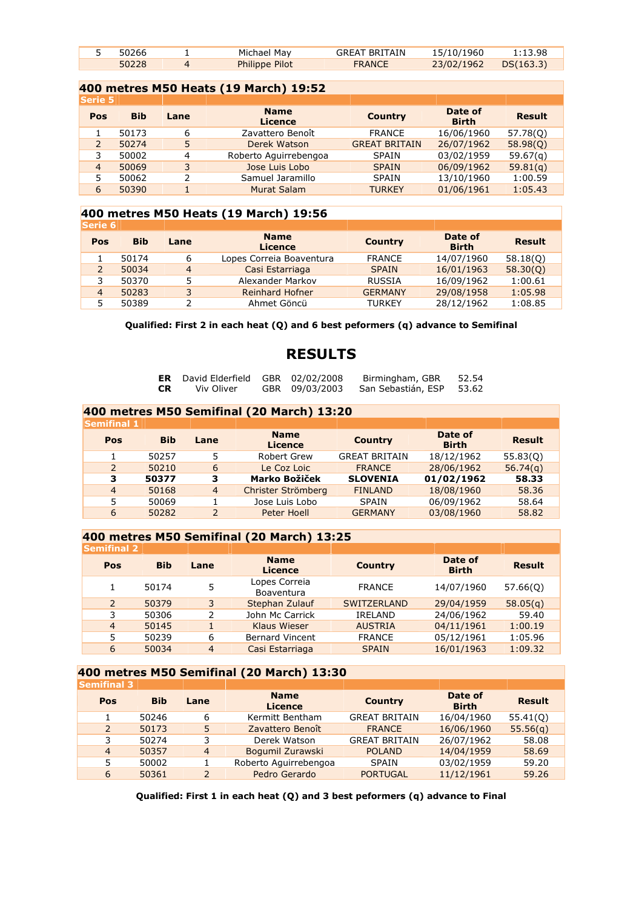| 50266 | Michael May           | <b>GREAT BRITAIN</b> | 15/10/1960 | 1:13.98   |  |
|-------|-----------------------|----------------------|------------|-----------|--|
| 50228 | <b>Philippe Pilot</b> | <b>FRANCE</b>        | 23/02/1962 | DS(163.3) |  |

|                | 400 metres M50 Heats (19 March) 19:52 |                |                               |                      |                         |               |  |  |  |  |  |
|----------------|---------------------------------------|----------------|-------------------------------|----------------------|-------------------------|---------------|--|--|--|--|--|
| <b>Serie 5</b> |                                       |                |                               |                      |                         |               |  |  |  |  |  |
| Pos            | <b>Bib</b>                            | Lane           | <b>Name</b><br><b>Licence</b> | <b>Country</b>       | Date of<br><b>Birth</b> | <b>Result</b> |  |  |  |  |  |
|                | 50173                                 | 6              | Zavattero Benoît              | <b>FRANCE</b>        | 16/06/1960              | 57.78(Q)      |  |  |  |  |  |
| 2              | 50274                                 | 5              | Derek Watson                  | <b>GREAT BRITAIN</b> | 26/07/1962              | 58.98(0)      |  |  |  |  |  |
| 3              | 50002                                 | $\overline{4}$ | Roberto Aguirrebengoa         | <b>SPAIN</b>         | 03/02/1959              | 59.67(a)      |  |  |  |  |  |
| $\overline{4}$ | 50069                                 | 3              | Jose Luis Lobo                | <b>SPAIN</b>         | 06/09/1962              | 59.81(q)      |  |  |  |  |  |
| 5              | 50062                                 | 2              | Samuel Jaramillo              | <b>SPAIN</b>         | 13/10/1960              | 1:00.59       |  |  |  |  |  |
| 6              | 50390                                 |                | Murat Salam                   | <b>TURKEY</b>        | 01/06/1961              | 1:05.43       |  |  |  |  |  |

#### **400 metres M50 Heats (19 March) 19:56**

| <b>Serie 6</b> |            |                |                               |                |                         |               |
|----------------|------------|----------------|-------------------------------|----------------|-------------------------|---------------|
| Pos            | <b>Bib</b> | Lane           | <b>Name</b><br><b>Licence</b> | <b>Country</b> | Date of<br><b>Birth</b> | <b>Result</b> |
|                | 50174      | 6              | Lopes Correia Boaventura      | <b>FRANCE</b>  | 14/07/1960              | 58.18(0)      |
|                | 50034      | $\overline{4}$ | Casi Estarriaga               | <b>SPAIN</b>   | 16/01/1963              | 58.30(0)      |
|                | 50370      |                | Alexander Markov              | RUSSIA         | 16/09/1962              | 1:00.61       |
| 4              | 50283      | 3              | <b>Reinhard Hofner</b>        | <b>GERMANY</b> | 29/08/1958              | 1:05.98       |
|                | 50389      |                | Ahmet Göncü                   | <b>TURKEY</b>  | 28/12/1962              | 1:08.85       |

#### **Qualified: First 2 in each heat (Q) and 6 best peformers (q) advance to Semifinal**

# **RESULTS**

| ER        | David Elderfield GBR 02/02/20 |              |
|-----------|-------------------------------|--------------|
| <b>CR</b> | Viv Oliver                    | GBR 09/03/20 |

**CR Balder Birmingham, GBR 52.54**<br>**CRIC Birming San Sebastián, ESP 53.62** 

**CRIMING CRIPS 641** 

| 400 metres M50 Semifinal (20 March) 13:20 |            |                |                               |                      |                         |               |  |  |  |  |
|-------------------------------------------|------------|----------------|-------------------------------|----------------------|-------------------------|---------------|--|--|--|--|
| <b>Semifinal 1</b>                        |            |                |                               |                      |                         |               |  |  |  |  |
| Pos                                       | <b>Bib</b> | Lane           | <b>Name</b><br><b>Licence</b> | <b>Country</b>       | Date of<br><b>Birth</b> | <b>Result</b> |  |  |  |  |
|                                           | 50257      | 5              | Robert Grew                   | <b>GREAT BRITAIN</b> | 18/12/1962              | 55.83(0)      |  |  |  |  |
| $\overline{\phantom{0}}$                  | 50210      | 6              | Le Coz Loic                   | <b>FRANCE</b>        | 28/06/1962              | 56.74(q)      |  |  |  |  |
| з                                         | 50377      | з              | <b>Marko Božiček</b>          | <b>SLOVENIA</b>      | 01/02/1962              | 58.33         |  |  |  |  |
| $\overline{4}$                            | 50168      | $\overline{4}$ | Christer Strömberg            | <b>FINLAND</b>       | 18/08/1960              | 58.36         |  |  |  |  |
| 5                                         | 50069      |                | Jose Luis Lobo                | SPAIN                | 06/09/1962              | 58.64         |  |  |  |  |
| 6                                         | 50282      | $\mathcal{P}$  | Peter Hoell                   | <b>GERMANY</b>       | 03/08/1960              | 58.82         |  |  |  |  |

#### **400 metres M50 Semifinal (20 March) 13:25**

| <b>Semifinal 2</b> |            |                |                               |                    |                         |               |
|--------------------|------------|----------------|-------------------------------|--------------------|-------------------------|---------------|
| Pos                | <b>Bib</b> | Lane           | <b>Name</b><br><b>Licence</b> | <b>Country</b>     | Date of<br><b>Birth</b> | <b>Result</b> |
|                    | 50174      | 5              | Lopes Correia<br>Boaventura   | <b>FRANCE</b>      | 14/07/1960              | 57.66(0)      |
| $\mathcal{P}$      | 50379      | 3              | Stephan Zulauf                | <b>SWITZERLAND</b> | 29/04/1959              | 58.05(q)      |
| 3                  | 50306      | 2              | John Mc Carrick               | IRELAND            | 24/06/1962              | 59.40         |
| $\overline{4}$     | 50145      |                | <b>Klaus Wieser</b>           | <b>AUSTRIA</b>     | 04/11/1961              | 1:00.19       |
| 5                  | 50239      | 6              | <b>Bernard Vincent</b>        | <b>FRANCE</b>      | 05/12/1961              | 1:05.96       |
| 6                  | 50034      | $\overline{4}$ | Casi Estarriaga               | <b>SPAIN</b>       | 16/01/1963              | 1:09.32       |

#### **400 metres M50 Semifinal (20 March) 13:30**

| <b>Semifinal 3</b> |            |                |                               |                      |                         |               |
|--------------------|------------|----------------|-------------------------------|----------------------|-------------------------|---------------|
| Pos                | <b>Bib</b> | Lane           | <b>Name</b><br><b>Licence</b> | <b>Country</b>       | Date of<br><b>Birth</b> | <b>Result</b> |
|                    | 50246      | 6              | Kermitt Bentham               | <b>GREAT BRITAIN</b> | 16/04/1960              | 55.41(0)      |
| $\overline{2}$     | 50173      | 5              | Zavattero Benoît              | <b>FRANCE</b>        | 16/06/1960              | 55.56(q)      |
| 3                  | 50274      | 3              | Derek Watson                  | <b>GREAT BRITAIN</b> | 26/07/1962              | 58.08         |
| $\overline{4}$     | 50357      | $\overline{4}$ | Bogumil Zurawski              | <b>POLAND</b>        | 14/04/1959              | 58.69         |
| 5                  | 50002      |                | Roberto Aguirrebengoa         | SPAIN                | 03/02/1959              | 59.20         |
| 6                  | 50361      | $\mathcal{P}$  | Pedro Gerardo                 | <b>PORTUGAL</b>      | 11/12/1961              | 59.26         |

**Qualified: First 1 in each heat (Q) and 3 best peformers (q) advance to Final**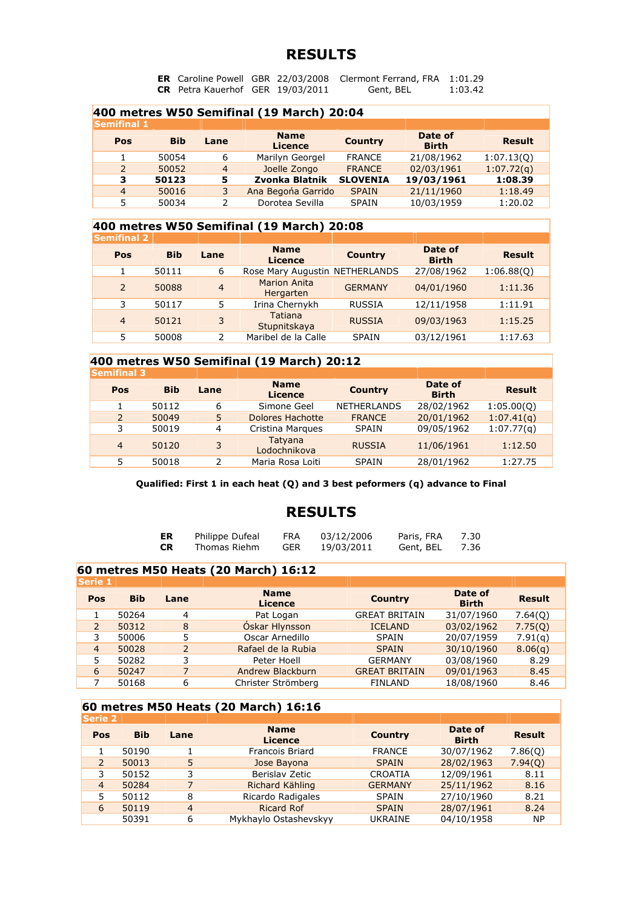**ER** Caroline Powell GBR 22/03/2008 Clermont Ferrand, FRA 1:01.29 **CR** Petra Kauerhof GER 19/03/2011 Gent, BEL 1:03.42

| 400 metres W50 Semifinal (19 March) 20:04 |            |                |                               |                 |                         |               |  |  |  |  |
|-------------------------------------------|------------|----------------|-------------------------------|-----------------|-------------------------|---------------|--|--|--|--|
| <b>Semifinal 1</b>                        |            |                |                               |                 |                         |               |  |  |  |  |
| Pos                                       | <b>Bib</b> | Lane           | <b>Name</b><br><b>Licence</b> | <b>Country</b>  | Date of<br><b>Birth</b> | <b>Result</b> |  |  |  |  |
|                                           | 50054      | 6              | Marilyn Georgel               | <b>FRANCE</b>   | 21/08/1962              | 1:07.13(0)    |  |  |  |  |
| $\overline{\phantom{0}}$                  | 50052      | $\overline{4}$ | Joelle Zongo                  | <b>FRANCE</b>   | 02/03/1961              | 1:07.72(q)    |  |  |  |  |
| з                                         | 50123      | 5              | Zvonka Blatnik                | <b>SLOVENIA</b> | 19/03/1961              | 1:08.39       |  |  |  |  |
| $\overline{4}$                            | 50016      | 3              | Ana Begona Garrido            | <b>SPAIN</b>    | 21/11/1960              | 1:18.49       |  |  |  |  |
| 5                                         | 50034      |                | Dorotea Sevilla               | <b>SPAIN</b>    | 10/03/1959              | 1:20.02       |  |  |  |  |

#### **400 metres W50 Semifinal (19 March) 20:08**

| <b>Semifinal 2</b> |            |                |                                  |                |                         |               |
|--------------------|------------|----------------|----------------------------------|----------------|-------------------------|---------------|
| Pos                | <b>Bib</b> | Lane           | <b>Name</b><br><b>Licence</b>    | <b>Country</b> | Date of<br><b>Birth</b> | <b>Result</b> |
|                    | 50111      | 6              | Rose Mary Augustin NETHERLANDS   |                | 27/08/1962              | 1:06.88(0)    |
| 2                  | 50088      | $\overline{4}$ | <b>Marion Anita</b><br>Hergarten | <b>GERMANY</b> | 04/01/1960              | 1:11.36       |
| 3                  | 50117      |                | Irina Chernykh                   | <b>RUSSIA</b>  | 12/11/1958              | 1:11.91       |
| $\overline{4}$     | 50121      | 3              | Tatiana<br>Stupnitskaya          | <b>RUSSIA</b>  | 09/03/1963              | 1:15.25       |
| 5                  | 50008      | 2              | Maribel de la Calle              | SPAIN          | 03/12/1961              | 1:17.63       |

# **400 metres W50 Semifinal (19 March) 20:12**

| <b>Semifinal 3</b> |            |      |                               |                    |                         |               |
|--------------------|------------|------|-------------------------------|--------------------|-------------------------|---------------|
| Pos                | <b>Bib</b> | Lane | <b>Name</b><br><b>Licence</b> | <b>Country</b>     | Date of<br><b>Birth</b> | <b>Result</b> |
|                    | 50112      | 6    | Simone Geel                   | <b>NETHERLANDS</b> | 28/02/1962              | 1:05.00(Q)    |
| 2                  | 50049      | 5    | Dolores Hachotte              | <b>FRANCE</b>      | 20/01/1962              | 1:07.41(q)    |
| 3                  | 50019      | 4    | Cristina Margues              | <b>SPAIN</b>       | 09/05/1962              | 1:07.77(a)    |
| 4                  | 50120      | 3    | Tatyana<br>Lodochnikova       | <b>RUSSIA</b>      | 11/06/1961              | 1:12.50       |
| 5                  | 50018      |      | Maria Rosa Loiti              | <b>SPAIN</b>       | 28/01/1962              | 1:27.75       |

**Qualified: First 1 in each heat (Q) and 3 best peformers (q) advance to Final** 

### **RESULTS**

| ER | Philippe Dufeal | FRA        | 03/12/2006 | Paris, FRA | 7.30 |
|----|-----------------|------------|------------|------------|------|
| CR | Thomas Riehm    | <b>GER</b> | 19/03/2011 | Gent, BEL  | 7.36 |

#### **60 metres M50 Heats (20 March) 16:12**

| <b>Serie 1</b> |            |               |                               |                      |                         |               |
|----------------|------------|---------------|-------------------------------|----------------------|-------------------------|---------------|
| Pos            | <b>Bib</b> | Lane          | <b>Name</b><br><b>Licence</b> | <b>Country</b>       | Date of<br><b>Birth</b> | <b>Result</b> |
|                | 50264      | 4             | Pat Logan                     | <b>GREAT BRITAIN</b> | 31/07/1960              | 7.64(0)       |
|                | 50312      | 8             | Óskar Hlynsson                | <b>ICELAND</b>       | 03/02/1962              | 7.75(Q)       |
|                | 50006      | 5             | Oscar Arnedillo               | <b>SPAIN</b>         | 20/07/1959              | 7.91(q)       |
| $\overline{4}$ | 50028      | $\mathcal{P}$ | Rafael de la Rubia            | <b>SPAIN</b>         | 30/10/1960              | 8.06(q)       |
| 5              | 50282      | 3             | Peter Hoell                   | <b>GERMANY</b>       | 03/08/1960              | 8.29          |
| 6              | 50247      | 7             | Andrew Blackburn              | <b>GREAT BRITAIN</b> | 09/01/1963              | 8.45          |
|                | 50168      | 6             | Christer Strömberg            | <b>FINLAND</b>       | 18/08/1960              | 8.46          |

#### **60 metres M50 Heats (20 March) 16:16**

| <b>Serie 2</b> |            |                |                               |                |                         |               |
|----------------|------------|----------------|-------------------------------|----------------|-------------------------|---------------|
| Pos            | <b>Bib</b> | Lane           | <b>Name</b><br><b>Licence</b> | <b>Country</b> | Date of<br><b>Birth</b> | <b>Result</b> |
|                | 50190      |                | Francois Briard               | <b>FRANCE</b>  | 30/07/1962              | 7.86(0)       |
| $\overline{2}$ | 50013      | 5              | Jose Bayona                   | <b>SPAIN</b>   | 28/02/1963              | 7.94(0)       |
| 3              | 50152      | 3              | Berislav Zetic                | <b>CROATIA</b> | 12/09/1961              | 8.11          |
| $\overline{4}$ | 50284      |                | Richard Kähling               | <b>GERMANY</b> | 25/11/1962              | 8.16          |
| 5              | 50112      | 8              | Ricardo Radigales             | SPAIN          | 27/10/1960              | 8.21          |
| 6              | 50119      | $\overline{4}$ | <b>Ricard Rof</b>             | <b>SPAIN</b>   | 28/07/1961              | 8.24          |
|                | 50391      | 6              | Mykhaylo Ostashevskyy         | <b>UKRAINE</b> | 04/10/1958              | <b>NP</b>     |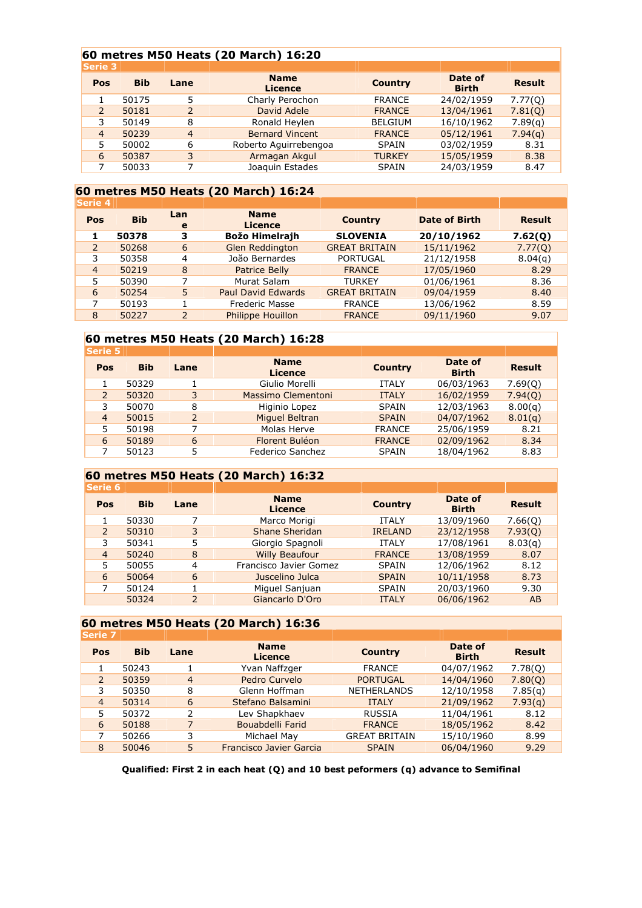#### **60 metres M50 Heats (20 March) 16:20**

| <b>Bib</b> | Lane           | <b>Name</b><br><b>Licence</b> | <b>Country</b> | Date of<br><b>Birth</b> | <b>Result</b> |
|------------|----------------|-------------------------------|----------------|-------------------------|---------------|
| 50175      | 5              | Charly Perochon               | <b>FRANCE</b>  | 24/02/1959              | 7.77(0)       |
| 50181      | 2              | David Adele                   | <b>FRANCE</b>  | 13/04/1961              | 7.81(0)       |
| 50149      | 8              | Ronald Heylen                 | <b>BELGIUM</b> | 16/10/1962              | 7.89(q)       |
| 50239      | $\overline{4}$ | <b>Bernard Vincent</b>        | <b>FRANCE</b>  | 05/12/1961              | 7.94(q)       |
| 50002      | 6              | Roberto Aguirrebengoa         | <b>SPAIN</b>   | 03/02/1959              | 8.31          |
| 50387      | 3              | Armagan Akgul                 | <b>TURKEY</b>  | 15/05/1959              | 8.38          |
| 50033      |                | Joaquin Estades               | <b>SPAIN</b>   | 24/03/1959              | 8.47          |
|            | <b>Serie 3</b> |                               |                |                         |               |

# **60 metres M50 Heats (20 March) 16:24**

| <b>Result</b> |
|---------------|
| 7.62(Q)       |
| 7.77(Q)       |
| 8.04(q)       |
| 8.29          |
| 8.36          |
| 8.40          |
| 8.59          |
| 9.07          |
|               |

#### **60 metres M50 Heats (20 March) 16:28**

| <b>Serie 5</b> |            |               |                               |                |                         |               |
|----------------|------------|---------------|-------------------------------|----------------|-------------------------|---------------|
| Pos            | <b>Bib</b> | Lane          | <b>Name</b><br><b>Licence</b> | <b>Country</b> | Date of<br><b>Birth</b> | <b>Result</b> |
|                | 50329      |               | Giulio Morelli                | <b>ITALY</b>   | 06/03/1963              | 7.69(0)       |
| $\overline{2}$ | 50320      | 3             | Massimo Clementoni            | <b>ITALY</b>   | 16/02/1959              | 7.94(0)       |
| 3              | 50070      | 8             | Higinio Lopez                 | <b>SPAIN</b>   | 12/03/1963              | 8.00(q)       |
| $\overline{4}$ | 50015      | $\mathcal{P}$ | Miguel Beltran                | <b>SPAIN</b>   | 04/07/1962              | 8.01(q)       |
| 5              | 50198      |               | Molas Herve                   | <b>FRANCE</b>  | 25/06/1959              | 8.21          |
| 6              | 50189      | 6             | Florent Buléon                | <b>FRANCE</b>  | 02/09/1962              | 8.34          |
|                | 50123      | 5             | Federico Sanchez              | <b>SPAIN</b>   | 18/04/1962              | 8.83          |
|                |            |               |                               |                |                         |               |

#### **60 metres M50 Heats (20 March) 16:32**

| Serie 6        |            |      |                               |                |                         |               |
|----------------|------------|------|-------------------------------|----------------|-------------------------|---------------|
| <b>Pos</b>     | <b>Bib</b> | Lane | <b>Name</b><br><b>Licence</b> | <b>Country</b> | Date of<br><b>Birth</b> | <b>Result</b> |
|                | 50330      |      | Marco Morigi                  | <b>ITALY</b>   | 13/09/1960              | 7.66(0)       |
| 2              | 50310      | 3    | Shane Sheridan                | <b>IRELAND</b> | 23/12/1958              | 7.93(0)       |
| 3              | 50341      | 5.   | Giorgio Spagnoli              | <b>ITALY</b>   | 17/08/1961              | 8.03(q)       |
| $\overline{4}$ | 50240      | 8    | <b>Willy Beaufour</b>         | <b>FRANCE</b>  | 13/08/1959              | 8.07          |
| 5              | 50055      | 4    | Francisco Javier Gomez        | <b>SPAIN</b>   | 12/06/1962              | 8.12          |
| 6              | 50064      | 6    | Juscelino Julca               | <b>SPAIN</b>   | 10/11/1958              | 8.73          |
| 7              | 50124      |      | Miguel Sanjuan                | <b>SPAIN</b>   | 20/03/1960              | 9.30          |
|                | 50324      | 2    | Giancarlo D'Oro               | <b>ITALY</b>   | 06/06/1962              | AB            |
|                |            |      |                               |                |                         |               |

#### **60 metres M50 Heats (20 March) 16:36**

| <b>Serie 7</b> |            |                |                               |                      |                         |               |
|----------------|------------|----------------|-------------------------------|----------------------|-------------------------|---------------|
| Pos            | <b>Bib</b> | Lane           | <b>Name</b><br><b>Licence</b> | <b>Country</b>       | Date of<br><b>Birth</b> | <b>Result</b> |
|                | 50243      |                | Yvan Naffzger                 | <b>FRANCE</b>        | 04/07/1962              | 7.78(0)       |
| 2              | 50359      | $\overline{4}$ | Pedro Curvelo                 | <b>PORTUGAL</b>      | 14/04/1960              | 7.80(Q)       |
| 3              | 50350      | 8              | Glenn Hoffman                 | <b>NETHERLANDS</b>   | 12/10/1958              | 7.85(q)       |
| $\overline{4}$ | 50314      | 6              | Stefano Balsamini             | <b>ITALY</b>         | 21/09/1962              | 7.93(q)       |
| 5              | 50372      | 2              | Lev Shapkhaev                 | <b>RUSSIA</b>        | 11/04/1961              | 8.12          |
| 6              | 50188      | 7              | Bouabdelli Farid              | <b>FRANCE</b>        | 18/05/1962              | 8.42          |
| 7              | 50266      | 3              | Michael May                   | <b>GREAT BRITAIN</b> | 15/10/1960              | 8.99          |
| 8              | 50046      | 5              | Francisco Javier Garcia       | <b>SPAIN</b>         | 06/04/1960              | 9.29          |
|                |            |                |                               |                      |                         |               |

**Qualified: First 2 in each heat (Q) and 10 best peformers (q) advance to Semifinal**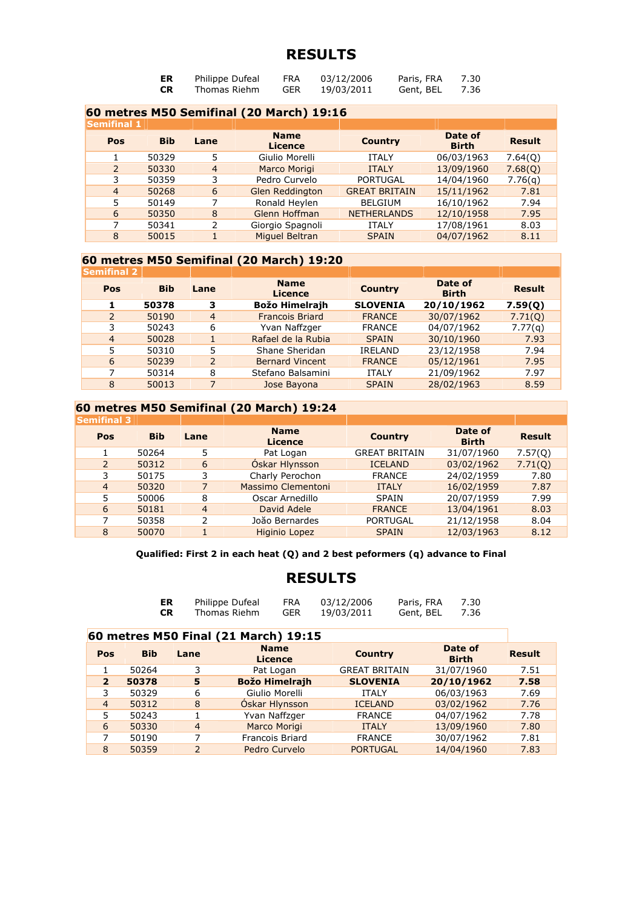| ER        | Philippe Dufeal | <b>FRA</b> | 03/12/2006 | Paris, FRA | 7.30 |
|-----------|-----------------|------------|------------|------------|------|
| <b>CR</b> | Thomas Riehm    | <b>GER</b> | 19/03/2011 | Gent, BEL  | 7.36 |

|                    |            |                | 60 metres M50 Semifinal (20 March) 19:16 |                      |                         |               |
|--------------------|------------|----------------|------------------------------------------|----------------------|-------------------------|---------------|
| <b>Semifinal 1</b> |            |                |                                          |                      |                         |               |
| Pos                | <b>Bib</b> | Lane           | <b>Name</b><br><b>Licence</b>            | <b>Country</b>       | Date of<br><b>Birth</b> | <b>Result</b> |
|                    | 50329      | 5              | Giulio Morelli                           | <b>ITALY</b>         | 06/03/1963              | 7.64(0)       |
| $\overline{2}$     | 50330      | $\overline{4}$ | Marco Morigi                             | <b>ITALY</b>         | 13/09/1960              | 7.68(Q)       |
| 3                  | 50359      | 3              | Pedro Curvelo                            | <b>PORTUGAL</b>      | 14/04/1960              | 7.76(q)       |
| $\overline{4}$     | 50268      | 6              | <b>Glen Reddington</b>                   | <b>GREAT BRITAIN</b> | 15/11/1962              | 7.81          |
| 5                  | 50149      | 7              | Ronald Heylen                            | <b>BELGIUM</b>       | 16/10/1962              | 7.94          |
| 6                  | 50350      | 8              | Glenn Hoffman                            | <b>NETHERLANDS</b>   | 12/10/1958              | 7.95          |
| 7                  | 50341      | フ              | Giorgio Spagnoli                         | <b>ITALY</b>         | 17/08/1961              | 8.03          |
| 8                  | 50015      |                | <b>Miquel Beltran</b>                    | <b>SPAIN</b>         | 04/07/1962              | 8.11          |

### **60 metres M50 Semifinal (20 March) 19:20**

| <b>Semifinal 2</b> |            |                |                               |                 |                         |               |
|--------------------|------------|----------------|-------------------------------|-----------------|-------------------------|---------------|
| Pos                | <b>Bib</b> | Lane           | <b>Name</b><br><b>Licence</b> | <b>Country</b>  | Date of<br><b>Birth</b> | <b>Result</b> |
|                    | 50378      | з              | <b>Božo Himelrajh</b>         | <b>SLOVENIA</b> | 20/10/1962              | 7.59(0)       |
| 2                  | 50190      | $\overline{4}$ | <b>Francois Briard</b>        | <b>FRANCE</b>   | 30/07/1962              | 7.71(0)       |
| 3                  | 50243      | 6              | Yvan Naffzger                 | <b>FRANCE</b>   | 04/07/1962              | 7.77(q)       |
| $\overline{4}$     | 50028      |                | Rafael de la Rubia            | <b>SPAIN</b>    | 30/10/1960              | 7.93          |
|                    | 50310      | 5              | Shane Sheridan                | IRELAND         | 23/12/1958              | 7.94          |
| 6                  | 50239      | 2              | <b>Bernard Vincent</b>        | <b>FRANCE</b>   | 05/12/1961              | 7.95          |
|                    | 50314      | 8              | Stefano Balsamini             | <b>ITALY</b>    | 21/09/1962              | 7.97          |
| 8                  | 50013      | 7              | Jose Bayona                   | <b>SPAIN</b>    | 28/02/1963              | 8.59          |

### **60 metres M50 Semifinal (20 March) 19:24**

| <b>Semifinal 3</b> |            |                |                        |                      |                         |               |
|--------------------|------------|----------------|------------------------|----------------------|-------------------------|---------------|
| Pos                | <b>Bib</b> | Lane           | <b>Name</b><br>Licence | <b>Country</b>       | Date of<br><b>Birth</b> | <b>Result</b> |
|                    | 50264      | 5              | Pat Logan              | <b>GREAT BRITAIN</b> | 31/07/1960              | 7.57(0)       |
| 2                  | 50312      | 6              | Óskar Hlynsson         | <b>ICELAND</b>       | 03/02/1962              | 7.71(0)       |
| 3                  | 50175      | 3              | Charly Perochon        | <b>FRANCE</b>        | 24/02/1959              | 7.80          |
| $\overline{4}$     | 50320      |                | Massimo Clementoni     | <b>ITALY</b>         | 16/02/1959              | 7.87          |
| 5                  | 50006      | 8              | Oscar Arnedillo        | <b>SPAIN</b>         | 20/07/1959              | 7.99          |
| 6                  | 50181      | $\overline{4}$ | David Adele            | <b>FRANCE</b>        | 13/04/1961              | 8.03          |
| 7                  | 50358      |                | Joăo Bernardes         | <b>PORTUGAL</b>      | 21/12/1958              | 8.04          |
| 8                  | 50070      |                | <b>Higinio Lopez</b>   | <b>SPAIN</b>         | 12/03/1963              | 8.12          |

**Qualified: First 2 in each heat (Q) and 2 best peformers (q) advance to Final** 

| ER | Philippe Dufeal | <b>FRA</b> | 03/12/2006 | Paris, FRA | 7.30 |
|----|-----------------|------------|------------|------------|------|
| СR | Thomas Riehm    | <b>GER</b> | 19/03/2011 | Gent, BEL  | 7.36 |

|                |            |                | 60 metres M50 Final (21 March) 19:15 |                               |                         |               |  |  |
|----------------|------------|----------------|--------------------------------------|-------------------------------|-------------------------|---------------|--|--|
| Pos            | <b>Bib</b> | Lane           | <b>Name</b><br><b>Licence</b>        | <b>Country</b>                | Date of<br><b>Birth</b> | <b>Result</b> |  |  |
|                | 50264      | 3              | Pat Logan                            | <b>GREAT BRITAIN</b>          | 31/07/1960              | 7.51          |  |  |
| $\overline{2}$ | 50378      | 5              | <b>Božo Himelrajh</b>                | 20/10/1962<br><b>SLOVENIA</b> |                         |               |  |  |
| 3              | 50329      | 6              | Giulio Morelli                       | <b>ITALY</b>                  | 06/03/1963              | 7.69          |  |  |
| $\overline{4}$ | 50312      | 8              | Óskar Hlynsson                       | <b>ICELAND</b>                | 03/02/1962              | 7.76          |  |  |
| 5              | 50243      |                | Yvan Naffzger                        | <b>FRANCE</b>                 | 04/07/1962              | 7.78          |  |  |
| 6              | 50330      | $\overline{4}$ | Marco Morigi                         | <b>ITALY</b>                  | 13/09/1960              | 7.80          |  |  |
| 7              | 50190      | ⇁              | <b>Francois Briard</b>               | 30/07/1962<br><b>FRANCE</b>   |                         |               |  |  |
| 8              | 50359      | $\mathcal{P}$  | Pedro Curvelo                        | <b>PORTUGAL</b>               | 14/04/1960              | 7.83          |  |  |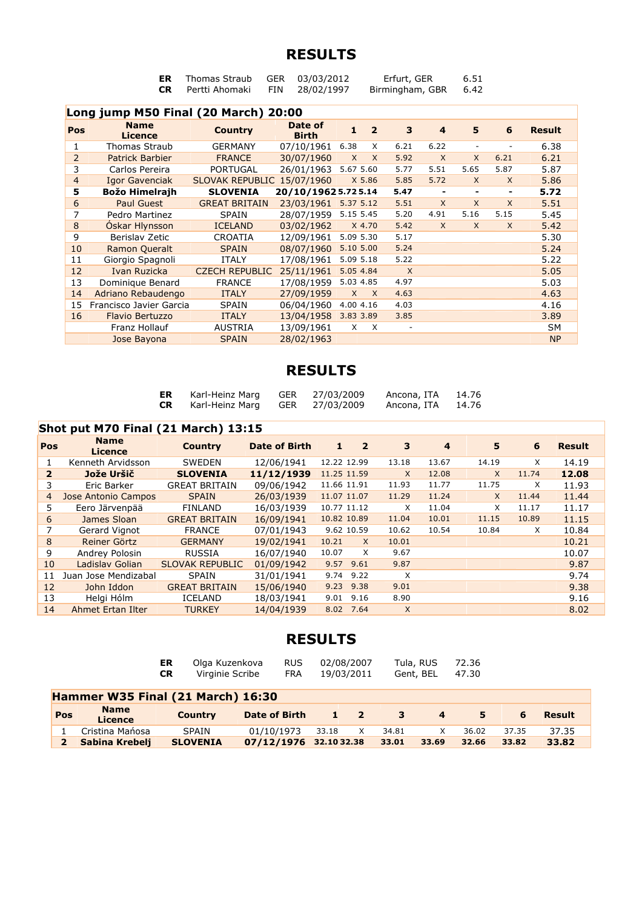| Thomas Straub            | GER 03/03/2012 | Erfurt, GER          | 6.51 |
|--------------------------|----------------|----------------------|------|
| <b>CR</b> Pertti Ahomaki | FIN 28/02/1997 | Birmingham, GBR 6.42 |      |

|                | Long jump M50 Final (20 March) 20:00 |                        |                         |              |                         |                          |                              |                |                          |               |
|----------------|--------------------------------------|------------------------|-------------------------|--------------|-------------------------|--------------------------|------------------------------|----------------|--------------------------|---------------|
| Pos            | <b>Name</b><br><b>Licence</b>        | <b>Country</b>         | Date of<br><b>Birth</b> | 1            | $\overline{\mathbf{z}}$ | 3                        | $\overline{4}$               | 5              | 6                        | <b>Result</b> |
| 1              | <b>Thomas Straub</b>                 | <b>GERMANY</b>         | 07/10/1961              | 6.38         | X                       | 6.21                     | 6.22                         | ۰              |                          | 6.38          |
| 2              | <b>Patrick Barbier</b>               | <b>FRANCE</b>          | 30/07/1960              | $\times$     | X                       | 5.92                     | $\times$                     | $\times$       | 6.21                     | 6.21          |
| 3              | Carlos Pereira                       | <b>PORTUGAL</b>        | 26/01/1963              | 5.67 5.60    |                         | 5.77                     | 5.51                         | 5.65           | 5.87                     | 5.87          |
| $\overline{4}$ | Igor Gavenciak                       | <b>SLOVAK REPUBLIC</b> | 15/07/1960              |              | X 5.86                  | 5.85                     | 5.72                         | $\times$       | $\times$                 | 5.86          |
| 5              | Božo Himelrajh                       | <b>SLOVENIA</b>        | 20/10/19625.725.14      |              |                         | 5.47                     | $\qquad \qquad \blacksquare$ | $\blacksquare$ | $\overline{\phantom{a}}$ | 5.72          |
| 6              | <b>Paul Guest</b>                    | <b>GREAT BRITAIN</b>   | 23/03/1961              | 5.37 5.12    |                         | 5.51                     | $\mathsf{x}$                 | X              | $\mathsf{x}$             | 5.51          |
| 7              | Pedro Martinez                       | <b>SPAIN</b>           | 28/07/1959              | 5.15 5.45    |                         | 5.20                     | 4.91                         | 5.16           | 5.15                     | 5.45          |
| 8              | Óskar Hlynsson                       | <b>ICELAND</b>         | 03/02/1962              |              | $X$ 4.70                | 5.42                     | $\mathsf{X}$                 | X              | X                        | 5.42          |
| 9              | Berislav Zetic                       | <b>CROATIA</b>         | 12/09/1961              | 5.09 5.30    |                         | 5.17                     |                              |                |                          | 5.30          |
| 10             | <b>Ramon Queralt</b>                 | <b>SPAIN</b>           | 08/07/1960              | 5.10 5.00    |                         | 5.24                     |                              |                |                          | 5.24          |
| 11             | Giorgio Spagnoli                     | <b>ITALY</b>           | 17/08/1961              | 5.09 5.18    |                         | 5.22                     |                              |                |                          | 5.22          |
| 12             | Ivan Ruzicka                         | <b>CZECH REPUBLIC</b>  | 25/11/1961              | 5.05 4.84    |                         | $\mathsf{x}$             |                              |                |                          | 5.05          |
| 13             | Dominique Benard                     | <b>FRANCE</b>          | 17/08/1959              | 5.03 4.85    |                         | 4.97                     |                              |                |                          | 5.03          |
| 14             | Adriano Rebaudengo                   | <b>ITALY</b>           | 27/09/1959              | $\mathsf{X}$ | $\mathsf{X}$            | 4.63                     |                              |                |                          | 4.63          |
| 15             | Francisco Javier Garcia              | <b>SPAIN</b>           | 06/04/1960              | 4.00 4.16    |                         | 4.03                     |                              |                |                          | 4.16          |
| 16             | <b>Flavio Bertuzzo</b>               | <b>ITALY</b>           | 13/04/1958              | 3.83 3.89    |                         | 3.85                     |                              |                |                          | 3.89          |
|                | Franz Hollauf                        | <b>AUSTRIA</b>         | 13/09/1961              | X            | $\times$                | $\overline{\phantom{a}}$ |                              |                |                          | <b>SM</b>     |
|                | Jose Bayona                          | <b>SPAIN</b>           | 28/02/1963              |              |                         |                          |                              |                |                          | <b>NP</b>     |

# **RESULTS**

| ER | Karl-Heinz Marg | GER | 27/03/2009 | Ancona, ITA | 14.76 |
|----|-----------------|-----|------------|-------------|-------|
| CR | Karl-Heinz Marg | GER | 27/03/2009 | Ancona, ITA | 14.76 |

### **Shot put M70 Final (21 March) 13:15**

| Pos | <b>Name</b><br><b>Licence</b> | <b>Country</b>         | <b>Date of Birth</b> | 1<br>2            | 3        | 4     | 5        | 6        | <b>Result</b> |
|-----|-------------------------------|------------------------|----------------------|-------------------|----------|-------|----------|----------|---------------|
| 1   | Kenneth Arvidsson             | <b>SWEDEN</b>          | 12/06/1941           | 12.22 12.99       | 13.18    | 13.67 | 14.19    | X        | 14.19         |
| 2   | Jože Uršič                    | <b>SLOVENIA</b>        | 11/12/1939           | 11.25 11.59       | $\times$ | 12.08 | $\times$ | 11.74    | 12.08         |
| 3   | Eric Barker                   | <b>GREAT BRITAIN</b>   | 09/06/1942           | 11.66 11.91       | 11.93    | 11.77 | 11.75    | X        | 11.93         |
| 4   | Jose Antonio Campos           | <b>SPAIN</b>           | 26/03/1939           | 11.07 11.07       | 11.29    | 11.24 | $\times$ | 11.44    | 11.44         |
| 5   | Eero Järvenpää                | <b>FINLAND</b>         | 16/03/1939           | 10.77 11.12       | X        | 11.04 | X        | 11.17    | 11.17         |
| 6   | James Sloan                   | <b>GREAT BRITAIN</b>   | 16/09/1941           | 10.82 10.89       | 11.04    | 10.01 | 11.15    | 10.89    | 11.15         |
|     | Gerard Vignot                 | <b>FRANCE</b>          | 07/01/1943           | 9.62 10.59        | 10.62    | 10.54 | 10.84    | $\times$ | 10.84         |
| 8   | Reiner Görtz                  | <b>GERMANY</b>         | 19/02/1941           | 10.21<br>$\times$ | 10.01    |       |          |          | 10.21         |
| 9   | Andrey Polosin                | <b>RUSSIA</b>          | 16/07/1940           | X<br>10.07        | 9.67     |       |          |          | 10.07         |
| 10  | Ladislav Golian               | <b>SLOVAK REPUBLIC</b> | 01/09/1942           | 9.57<br>9.61      | 9.87     |       |          |          | 9.87          |
| 11  | Juan Jose Mendizabal          | SPAIN                  | 31/01/1941           | 9.74<br>9.22      | X        |       |          |          | 9.74          |
| 12  | John Iddon                    | <b>GREAT BRITAIN</b>   | 15/06/1940           | 9.23 9.38         | 9.01     |       |          |          | 9.38          |
| 13  | Helai Hólm                    | <b>ICELAND</b>         | 18/03/1941           | 9.01<br>9.16      | 8.90     |       |          |          | 9.16          |
| 14  | Ahmet Ertan Ilter             | <b>TURKEY</b>          | 14/04/1939           | 8.02<br>7.64      | $\times$ |       |          |          | 8.02          |

|                                   |                               | Olga Kuzenkova<br>ER.<br>Virginie Scribe<br><b>CR</b> | <b>RUS</b><br><b>FRA</b> | 02/08/2007<br>19/03/2011 |             |       | Tula, RUS<br>Gent, BEL | 72.36<br>47.30 |       |               |  |
|-----------------------------------|-------------------------------|-------------------------------------------------------|--------------------------|--------------------------|-------------|-------|------------------------|----------------|-------|---------------|--|
| Hammer W35 Final (21 March) 16:30 |                               |                                                       |                          |                          |             |       |                        |                |       |               |  |
| Pos                               | <b>Name</b><br><b>Licence</b> | <b>Country</b>                                        | Date of Birth            |                          | $1 \quad 2$ | 3     | $\boldsymbol{4}$       | 5              | 6     | <b>Result</b> |  |
|                                   | Cristina Mańosa               | SPAIN                                                 | 01/10/1973               | 33.18                    | X           | 34.81 | X.                     | 36.02          | 37.35 | 37.35         |  |
|                                   | Sabina Krebelj                | <b>SLOVENIA</b>                                       | 07/12/1976 32.1032.38    |                          |             | 33.01 | 33.69                  | 32.66          | 33.82 | 33.82         |  |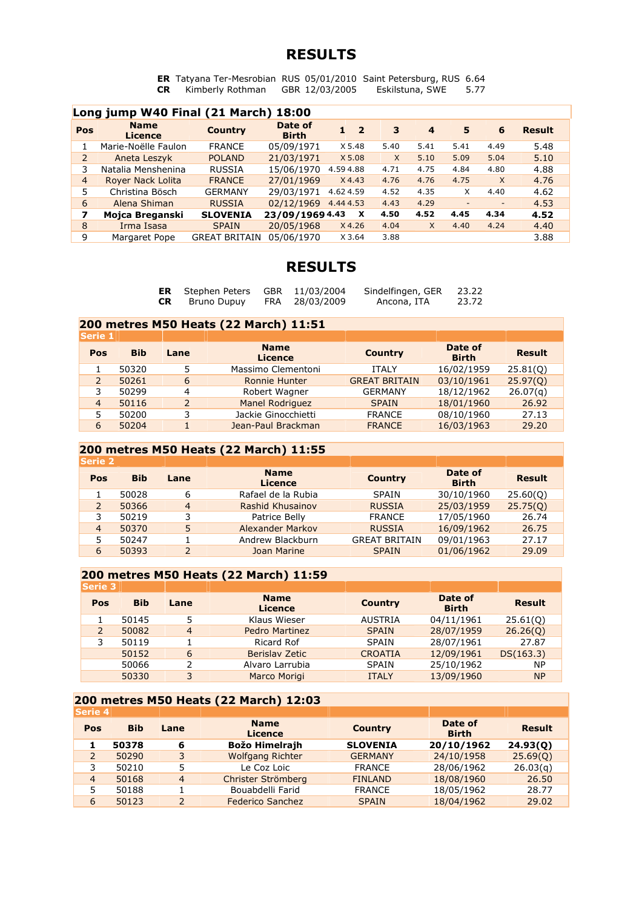**ER** Tatyana Ter-Mesrobian RUS 05/01/2010 Saint Petersburg, RUS 6.64 **CR** Kimberly Rothman GBR 12/03/2005 Eskilstuna, SWE 5.77

|                | Long jump W40 Final (21 March) 18:00 |                      |                         |                           |          |                         |      |                          |               |  |  |  |  |
|----------------|--------------------------------------|----------------------|-------------------------|---------------------------|----------|-------------------------|------|--------------------------|---------------|--|--|--|--|
| Pos            | <b>Name</b><br>Licence               | <b>Country</b>       | Date of<br><b>Birth</b> | $\overline{\mathbf{2}}$   | 3        | $\overline{\mathbf{4}}$ | 5    | 6                        | <b>Result</b> |  |  |  |  |
|                | Marie-Noëlle Faulon                  | <b>FRANCE</b>        | 05/09/1971              | X 5.48                    | 5.40     | 5.41                    | 5.41 | 4.49                     | 5.48          |  |  |  |  |
| 2              | Aneta Leszyk                         | <b>POLAND</b>        | 21/03/1971              | X 5.08                    | $\times$ | 5.10                    | 5.09 | 5.04                     | 5.10          |  |  |  |  |
| 3              | Natalia Menshenina                   | <b>RUSSIA</b>        | 15/06/1970              | 4.594.88                  | 4.71     | 4.75                    | 4.84 | 4.80                     | 4.88          |  |  |  |  |
| $\overline{4}$ | Royer Nack Lolita                    | <b>FRANCE</b>        | 27/01/1969              | X4.43                     | 4.76     | 4.76                    | 4.75 | $\times$                 | 4.76          |  |  |  |  |
| 5              | Christina Bösch                      | <b>GERMANY</b>       | 29/03/1971              | 4.624.59                  | 4.52     | 4.35                    | X    | 4.40                     | 4.62          |  |  |  |  |
| 6              | Alena Shiman                         | <b>RUSSIA</b>        | 02/12/1969              | 4.444.53                  | 4.43     | 4.29                    | -    | $\overline{\phantom{a}}$ | 4.53          |  |  |  |  |
| 7              | Mojca Breganski                      | <b>SLOVENIA</b>      | 23/09/1969 4.43         | $\boldsymbol{\mathsf{x}}$ | 4.50     | 4.52                    | 4.45 | 4.34                     | 4.52          |  |  |  |  |
| 8              | Irma Isasa                           | <b>SPAIN</b>         | 20/05/1968              | $X$ 4.26                  | 4.04     | X                       | 4.40 | 4.24                     | 4.40          |  |  |  |  |
| 9              | Margaret Pope                        | <b>GREAT BRITAIN</b> | 05/06/1970              | X 3.64                    | 3.88     |                         |      |                          | 3.88          |  |  |  |  |

# **RESULTS**

|     | <b>ER</b> Stephen Peters GBR 11/03/2004 |                | Sindelfingen, GER | 23.22 |
|-----|-----------------------------------------|----------------|-------------------|-------|
| CR. | Bruno Dupuy                             | FRA 28/03/2009 | Ancona, ITA       | 23.72 |

#### **200 metres M50 Heats (22 March) 11:51**

| <b>Serie 1</b> |            |                |                               |                      |                         |               |
|----------------|------------|----------------|-------------------------------|----------------------|-------------------------|---------------|
| Pos            | <b>Bib</b> | Lane           | <b>Name</b><br><b>Licence</b> | <b>Country</b>       | Date of<br><b>Birth</b> | <b>Result</b> |
|                | 50320      | 5              | Massimo Clementoni            | <b>ITALY</b>         | 16/02/1959              | 25.81(0)      |
|                | 50261      | 6              | <b>Ronnie Hunter</b>          | <b>GREAT BRITAIN</b> | 03/10/1961              | 25.97(0)      |
|                | 50299      | 4              | Robert Wagner                 | <b>GERMANY</b>       | 18/12/1962              | 26.07(q)      |
| 4              | 50116      | $\overline{2}$ | <b>Manel Rodriguez</b>        | <b>SPAIN</b>         | 18/01/1960              | 26.92         |
|                | 50200      |                | Jackie Ginocchietti           | <b>FRANCE</b>        | 08/10/1960              | 27.13         |
| 6              | 50204      |                | Jean-Paul Brackman            | <b>FRANCE</b>        | 16/03/1963              | 29.20         |

#### **200 metres M50 Heats (22 March) 11:55**

| <b>Serie 2</b> |            |                |                               |                      |                         |               |
|----------------|------------|----------------|-------------------------------|----------------------|-------------------------|---------------|
| Pos            | <b>Bib</b> | Lane           | <b>Name</b><br><b>Licence</b> | <b>Country</b>       | Date of<br><b>Birth</b> | <b>Result</b> |
|                | 50028      | 6              | Rafael de la Rubia            | <b>SPAIN</b>         | 30/10/1960              | 25.60(0)      |
|                | 50366      | $\overline{4}$ | Rashid Khusainov              | <b>RUSSIA</b>        | 25/03/1959              | 25.75(0)      |
| 3              | 50219      | 3              | Patrice Belly                 | <b>FRANCE</b>        | 17/05/1960              | 26.74         |
| $\overline{4}$ | 50370      | 5              | Alexander Markov              | <b>RUSSIA</b>        | 16/09/1962              | 26.75         |
|                | 50247      |                | Andrew Blackburn              | <b>GREAT BRITAIN</b> | 09/01/1963              | 27.17         |
| 6              | 50393      | 2              | Joan Marine                   | <b>SPAIN</b>         | 01/06/1962              | 29.09         |

#### **200 metres M50 Heats (22 March) 11:59**

| <b>Serie 3</b> |            |                |                               |                |                         |               |
|----------------|------------|----------------|-------------------------------|----------------|-------------------------|---------------|
| Pos            | <b>Bib</b> | Lane           | <b>Name</b><br><b>Licence</b> | <b>Country</b> | Date of<br><b>Birth</b> | <b>Result</b> |
|                | 50145      | 5              | Klaus Wieser                  | <b>AUSTRIA</b> | 04/11/1961              | 25.61(0)      |
| 2              | 50082      | $\overline{4}$ | <b>Pedro Martinez</b>         | <b>SPAIN</b>   | 28/07/1959              | 26.26(0)      |
| 3              | 50119      |                | Ricard Rof                    | <b>SPAIN</b>   | 28/07/1961              | 27.87         |
|                | 50152      | 6              | Berislay Zetic                | <b>CROATIA</b> | 12/09/1961              | DS(163.3)     |
|                | 50066      | っ              | Alvaro Larrubia               | <b>SPAIN</b>   | 25/10/1962              | NP.           |
|                | 50330      | 3              | Marco Morigi                  | <b>ITALY</b>   | 13/09/1960              | <b>NP</b>     |
|                |            |                |                               |                |                         |               |

#### **200 metres M50 Heats (22 March) 12:03**

| <b>Serie 4</b> |                          |                               |                 |                         |               |
|----------------|--------------------------|-------------------------------|-----------------|-------------------------|---------------|
| <b>Bib</b>     | Lane                     | <b>Name</b><br><b>Licence</b> | <b>Country</b>  | Date of<br><b>Birth</b> | <b>Result</b> |
| 50378          | 6                        | <b>Božo Himelrajh</b>         | <b>SLOVENIA</b> | 20/10/1962              | 24.93(0)      |
| 50290          | 3                        | <b>Wolfgang Richter</b>       | <b>GERMANY</b>  | 24/10/1958              | 25.69(0)      |
| 50210          | 5                        | Le Coz Loic                   | <b>FRANCE</b>   | 28/06/1962              | 26.03(q)      |
| 50168          | $\overline{4}$           | Christer Strömberg            | <b>FINLAND</b>  | 18/08/1960              | 26.50         |
| 50188          |                          | Bouabdelli Farid              | <b>FRANCE</b>   | 18/05/1962              | 28.77         |
| 50123          | $\overline{\phantom{0}}$ | <b>Federico Sanchez</b>       | <b>SPAIN</b>    | 18/04/1962              | 29.02         |
|                |                          |                               |                 |                         |               |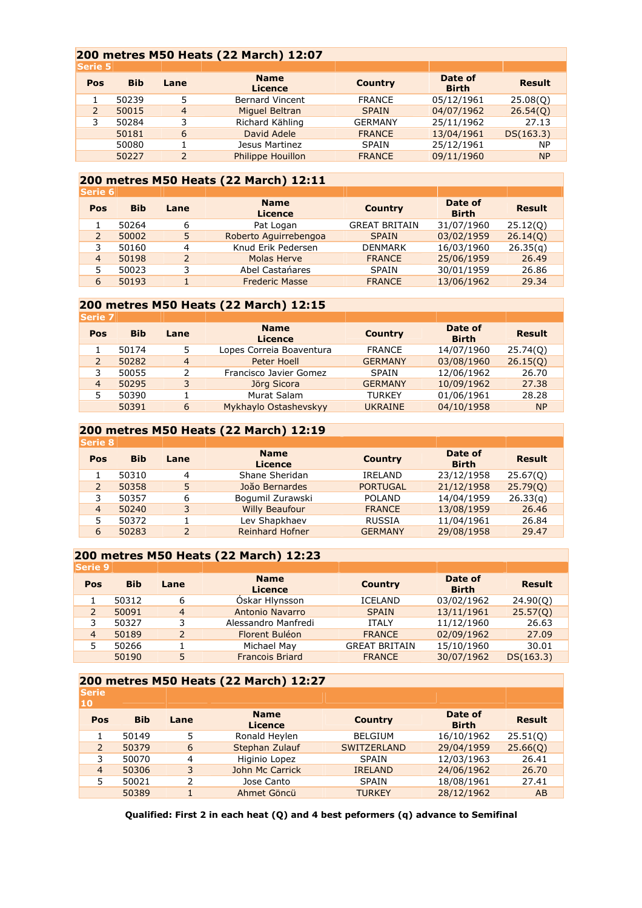#### **200 metres M50 Heats (22 March) 12:07**

| <b>Bib</b> | Lane                     | <b>Name</b><br><b>Licence</b> | <b>Country</b> | Date of<br><b>Birth</b> | <b>Result</b> |
|------------|--------------------------|-------------------------------|----------------|-------------------------|---------------|
| 50239      | 5                        | <b>Bernard Vincent</b>        | <b>FRANCE</b>  | 05/12/1961              | 25.08(0)      |
| 50015      | $\overline{4}$           | Miquel Beltran                | <b>SPAIN</b>   | 04/07/1962              | 26.54(0)      |
| 50284      | 3                        | Richard Kähling               | <b>GERMANY</b> | 25/11/1962              | 27.13         |
| 50181      | 6                        | David Adele                   | <b>FRANCE</b>  | 13/04/1961              | DS(163.3)     |
| 50080      |                          | Jesus Martinez                | <b>SPAIN</b>   | 25/12/1961              | <b>NP</b>     |
| 50227      | $\overline{\phantom{0}}$ | <b>Philippe Houillon</b>      | <b>FRANCE</b>  | 09/11/1960              | <b>NP</b>     |
|            |                          |                               |                |                         |               |

#### **200 metres M50 Heats (22 March) 12:11**

| <b>Serie 6</b> |            |               |                               |                      |                         |               |
|----------------|------------|---------------|-------------------------------|----------------------|-------------------------|---------------|
| Pos            | <b>Bib</b> | Lane          | <b>Name</b><br><b>Licence</b> | <b>Country</b>       | Date of<br><b>Birth</b> | <b>Result</b> |
|                | 50264      | 6             | Pat Logan                     | <b>GREAT BRITAIN</b> | 31/07/1960              | 25.12(0)      |
|                | 50002      | 5             | Roberto Aguirrebengoa         | <b>SPAIN</b>         | 03/02/1959              | 26.14(0)      |
| 3              | 50160      | 4             | Knud Erik Pedersen            | <b>DENMARK</b>       | 16/03/1960              | 26.35(q)      |
| 4              | 50198      | $\mathcal{P}$ | Molas Herve                   | <b>FRANCE</b>        | 25/06/1959              | 26.49         |
|                | 50023      | 3             | Abel Castanares               | SPAIN                | 30/01/1959              | 26.86         |
| 6              | 50193      |               | <b>Frederic Masse</b>         | <b>FRANCE</b>        | 13/06/1962              | 29.34         |
|                |            |               |                               |                      |                         |               |

#### **200 metres M50 Heats (22 March) 12:15**

| <b>Serie 7</b> |            |                |                               |                |                         |               |
|----------------|------------|----------------|-------------------------------|----------------|-------------------------|---------------|
| Pos            | <b>Bib</b> | Lane           | <b>Name</b><br><b>Licence</b> | <b>Country</b> | Date of<br><b>Birth</b> | <b>Result</b> |
|                | 50174      | 5              | Lopes Correia Boaventura      | <b>FRANCE</b>  | 14/07/1960              | 25.74(0)      |
|                | 50282      | $\overline{4}$ | Peter Hoell                   | <b>GERMANY</b> | 03/08/1960              | 26.15(0)      |
|                | 50055      | 2              | Francisco Javier Gomez        | SPAIN          | 12/06/1962              | 26.70         |
| $\overline{4}$ | 50295      | 3              | Jörg Sicora                   | <b>GERMANY</b> | 10/09/1962              | 27.38         |
|                | 50390      |                | Murat Salam                   | <b>TURKEY</b>  | 01/06/1961              | 28.28         |
|                | 50391      | 6              | Mykhaylo Ostashevskyy         | <b>UKRAINE</b> | 04/10/1958              | <b>NP</b>     |

#### **200 metres M50 Heats (22 March) 12:19**

| <b>Serie 8</b> |            |      |                               |                 |                         |               |
|----------------|------------|------|-------------------------------|-----------------|-------------------------|---------------|
| Pos            | <b>Bib</b> | Lane | <b>Name</b><br><b>Licence</b> | <b>Country</b>  | Date of<br><b>Birth</b> | <b>Result</b> |
|                | 50310      | 4    | Shane Sheridan                | IRELAND         | 23/12/1958              | 25.67(0)      |
|                | 50358      | 5    | João Bernardes                | <b>PORTUGAL</b> | 21/12/1958              | 25.79(0)      |
| 3              | 50357      | 6    | Bogumil Zurawski              | <b>POLAND</b>   | 14/04/1959              | 26.33(q)      |
| 4              | 50240      | 3    | <b>Willy Beaufour</b>         | <b>FRANCE</b>   | 13/08/1959              | 26.46         |
|                | 50372      |      | Lev Shapkhaev                 | <b>RUSSIA</b>   | 11/04/1961              | 26.84         |
| 6              | 50283      | 2    | <b>Reinhard Hofner</b>        | <b>GERMANY</b>  | 29/08/1958              | 29.47         |

#### **200 metres M50 Heats (22 March) 12:23**

| <b>Serie 9</b> |            |                |                        |                      |                         |               |
|----------------|------------|----------------|------------------------|----------------------|-------------------------|---------------|
| Pos            | <b>Bib</b> | Lane           | <b>Name</b><br>Licence | <b>Country</b>       | Date of<br><b>Birth</b> | <b>Result</b> |
|                | 50312      | 6              | Oskar Hlynsson         | <b>ICELAND</b>       | 03/02/1962              | 24.90(0)      |
|                | 50091      | $\overline{4}$ | Antonio Navarro        | <b>SPAIN</b>         | 13/11/1961              | 25.57(0)      |
|                | 50327      | 3              | Alessandro Manfredi    | <b>ITALY</b>         | 11/12/1960              | 26.63         |
| 4              | 50189      | $\overline{2}$ | Florent Buléon         | <b>FRANCE</b>        | 02/09/1962              | 27.09         |
|                | 50266      |                | Michael May            | <b>GREAT BRITAIN</b> | 15/10/1960              | 30.01         |
|                | 50190      | 5              | <b>Francois Briard</b> | <b>FRANCE</b>        | 30/07/1962              | DS(163.3)     |

#### **200 metres M50 Heats (22 March) 12:27**

| <b>Serie</b><br>10 |            |      |                        |                    |                         |               |
|--------------------|------------|------|------------------------|--------------------|-------------------------|---------------|
| Pos                | <b>Bib</b> | Lane | <b>Name</b><br>Licence | <b>Country</b>     | Date of<br><b>Birth</b> | <b>Result</b> |
|                    | 50149      | 5    | Ronald Heylen          | <b>BELGIUM</b>     | 16/10/1962              | 25.51(0)      |
| $\overline{2}$     | 50379      | 6    | Stephan Zulauf         | <b>SWITZERLAND</b> | 29/04/1959              | 25.66(0)      |
| 3                  | 50070      | 4    | Higinio Lopez          | <b>SPAIN</b>       | 12/03/1963              | 26.41         |
| $\overline{4}$     | 50306      | 3    | John Mc Carrick        | <b>IRELAND</b>     | 24/06/1962              | 26.70         |
| 5                  | 50021      | C    | Jose Canto             | <b>SPAIN</b>       | 18/08/1961              | 27.41         |
|                    | 50389      |      | Ahmet Göncü            | <b>TURKEY</b>      | 28/12/1962              | AB            |

**Qualified: First 2 in each heat (Q) and 4 best peformers (q) advance to Semifinal**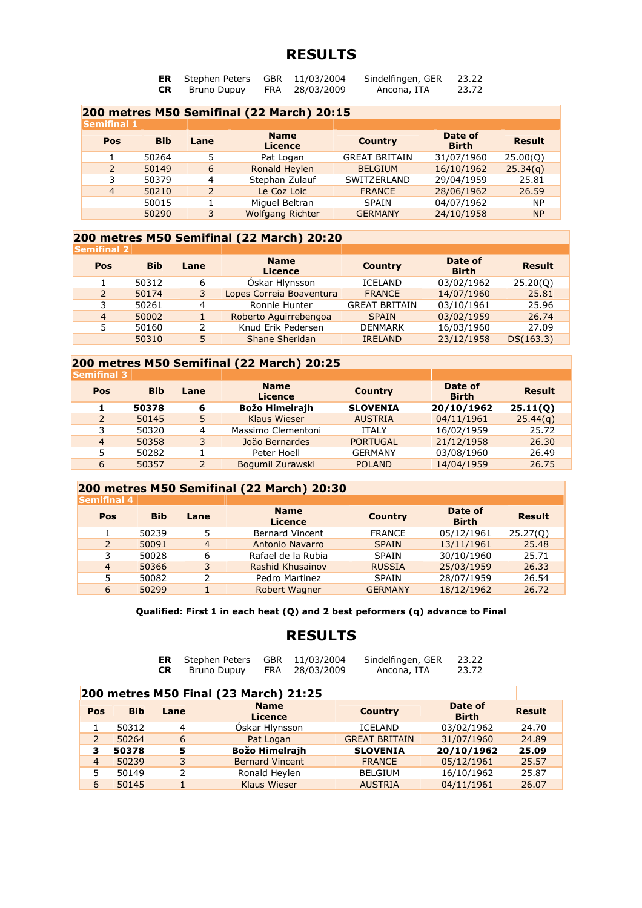| ER | Stephen Peters | GBR 11/03/2004 | Sindelfingen, GER | 23.22 |
|----|----------------|----------------|-------------------|-------|
| CR | Bruno Dupuy    | FRA 28/03/2009 | Ancona, ITA       | 23.72 |

#### **200 metres M50 Semifinal (22 March) 20:15 Semifinal 1 Pos Bib Lane Name Licence Country Date of Birth Result** 1 50264 5 Pat Logan GREAT BRITAIN 31/07/1960 25.00(Q) 2 50149 6 Ronald Heylen BELGIUM 16/10/1962 25.34(q) 3 50379 4 Stephan Zulauf SWITZERLAND 29/04/1959 25.81 4 50210 2 Le Coz Loic FRANCE 28/06/1962 26.59 50015 1 Miguel Beltran SPAIN 04/07/1962 NP 50290 3 Wolfgang Richter GERMANY 24/10/1958 NP

#### **200 metres M50 Semifinal (22 March) 20:20**

| <b>Semifinal 2</b> |            |      |                               |                      |                         |               |
|--------------------|------------|------|-------------------------------|----------------------|-------------------------|---------------|
| Pos                | <b>Bib</b> | Lane | <b>Name</b><br><b>Licence</b> | <b>Country</b>       | Date of<br><b>Birth</b> | <b>Result</b> |
|                    | 50312      | 6    | Oskar Hlynsson                | <b>ICELAND</b>       | 03/02/1962              | 25.20(0)      |
| $\overline{2}$     | 50174      | 3    | Lopes Correia Boaventura      | <b>FRANCE</b>        | 14/07/1960              | 25.81         |
| 3                  | 50261      | 4    | Ronnie Hunter                 | <b>GREAT BRITAIN</b> | 03/10/1961              | 25.96         |
| $\overline{4}$     | 50002      |      | Roberto Aguirrebengoa         | <b>SPAIN</b>         | 03/02/1959              | 26.74         |
| 5                  | 50160      |      | Knud Erik Pedersen            | <b>DENMARK</b>       | 16/03/1960              | 27.09         |
|                    | 50310      | 5    | <b>Shane Sheridan</b>         | <b>IRELAND</b>       | 23/12/1958              | DS(163.3)     |

#### **200 metres M50 Semifinal (22 March) 20:25**

| <b>Semifinal 3</b> |                |            |      |                               |                 |                         |               |  |
|--------------------|----------------|------------|------|-------------------------------|-----------------|-------------------------|---------------|--|
|                    | Pos            | <b>Bib</b> | Lane | <b>Name</b><br><b>Licence</b> | <b>Country</b>  | Date of<br><b>Birth</b> | <b>Result</b> |  |
|                    |                | 50378      | 6    | Božo Himelrajh                | <b>SLOVENIA</b> | 20/10/1962              | 25.11(0)      |  |
|                    | $\overline{2}$ | 50145      | 5    | <b>Klaus Wieser</b>           | <b>AUSTRIA</b>  | 04/11/1961              | 25.44(q)      |  |
|                    | 3              | 50320      | 4    | Massimo Clementoni            | <b>ITALY</b>    | 16/02/1959              | 25.72         |  |
|                    | $\overline{4}$ | 50358      | 3    | João Bernardes                | <b>PORTUGAL</b> | 21/12/1958              | 26.30         |  |
|                    | 5              | 50282      |      | Peter Hoell                   | <b>GERMANY</b>  | 03/08/1960              | 26.49         |  |
|                    | 6              | 50357      |      | Bogumil Zurawski              | <b>POLAND</b>   | 14/04/1959              | 26.75         |  |
|                    |                |            |      |                               |                 |                         |               |  |

#### **200 metres M50 Semifinal (22 March) 20:30**

| <b>Semifinal 4</b> |            |                |                               |                |                         |               |
|--------------------|------------|----------------|-------------------------------|----------------|-------------------------|---------------|
| Pos                | <b>Bib</b> | Lane           | <b>Name</b><br><b>Licence</b> | <b>Country</b> | Date of<br><b>Birth</b> | <b>Result</b> |
|                    | 50239      | 5              | <b>Bernard Vincent</b>        | <b>FRANCE</b>  | 05/12/1961              | 25.27(0)      |
| 2                  | 50091      | $\overline{4}$ | Antonio Navarro               | <b>SPAIN</b>   | 13/11/1961              | 25.48         |
| 3                  | 50028      | 6              | Rafael de la Rubia            | <b>SPAIN</b>   | 30/10/1960              | 25.71         |
| $\overline{4}$     | 50366      | 3              | Rashid Khusainov              | <b>RUSSIA</b>  | 25/03/1959              | 26.33         |
| 5                  | 50082      |                | Pedro Martinez                | <b>SPAIN</b>   | 28/07/1959              | 26.54         |
| 6                  | 50299      |                | Robert Wagner                 | <b>GERMANY</b> | 18/12/1962              | 26.72         |
|                    |            |                |                               |                |                         |               |

**Qualified: First 1 in each heat (Q) and 2 best peformers (q) advance to Final** 

|           | <b>ER</b> Stephen Peters GBR 11/03/2004 |                | Sindelfingen, GER | 23.22 |
|-----------|-----------------------------------------|----------------|-------------------|-------|
| <b>CR</b> | Bruno Dupuy                             | FRA 28/03/2009 | Ancona, ITA       | 23.72 |

| 200 metres M50 Final (23 March) 21:25 |            |      |                               |                      |                         |               |  |  |
|---------------------------------------|------------|------|-------------------------------|----------------------|-------------------------|---------------|--|--|
| Pos                                   | <b>Bib</b> | Lane | <b>Name</b><br><b>Licence</b> | <b>Country</b>       | Date of<br><b>Birth</b> | <b>Result</b> |  |  |
|                                       | 50312      | 4    | Óskar Hlynsson                | <b>ICELAND</b>       | 03/02/1962              | 24.70         |  |  |
| 2                                     | 50264      | 6    | Pat Logan                     | <b>GREAT BRITAIN</b> | 31/07/1960              | 24.89         |  |  |
| з                                     | 50378      | 5    | Božo Himelrajh                | <b>SLOVENIA</b>      | 20/10/1962              | 25.09         |  |  |
| $\overline{4}$                        | 50239      | 3    | <b>Bernard Vincent</b>        | <b>FRANCE</b>        | 05/12/1961              | 25.57         |  |  |
| 5                                     | 50149      | 2    | Ronald Heylen                 | <b>BELGIUM</b>       | 16/10/1962              | 25.87         |  |  |
| 6                                     | 50145      |      | <b>Klaus Wieser</b>           | <b>AUSTRIA</b>       | 04/11/1961              | 26.07         |  |  |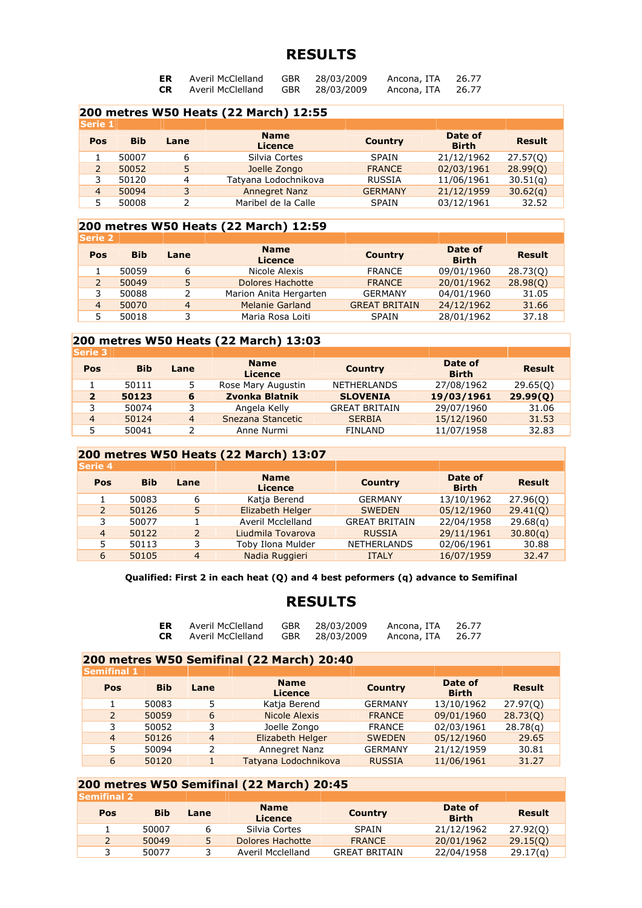| ER        | Averil McClelland | <b>GBR</b> | 28/03/2009 | Ancona, ITA | 26.77 |
|-----------|-------------------|------------|------------|-------------|-------|
| <b>CR</b> | Averil McClelland | <b>GBR</b> | 28/03/2009 | Ancona, ITA | 26.77 |

| 200 metres W50 Heats (22 March) 12:55 |            |      |                               |                |                         |               |  |  |
|---------------------------------------|------------|------|-------------------------------|----------------|-------------------------|---------------|--|--|
| <b>Serie 1</b>                        |            |      |                               |                |                         |               |  |  |
| Pos                                   | <b>Bib</b> | Lane | <b>Name</b><br><b>Licence</b> | <b>Country</b> | Date of<br><b>Birth</b> | <b>Result</b> |  |  |
|                                       | 50007      | 6    | Silvia Cortes                 | SPAIN          | 21/12/1962              | 27.57(0)      |  |  |
|                                       | 50052      | 5    | Joelle Zongo                  | <b>FRANCE</b>  | 02/03/1961              | 28.99(0)      |  |  |
| 3                                     | 50120      | 4    | Tatyana Lodochnikova          | <b>RUSSIA</b>  | 11/06/1961              | 30.51(q)      |  |  |
| 4                                     | 50094      | 3    | <b>Annegret Nanz</b>          | <b>GERMANY</b> | 21/12/1959              | 30.62(q)      |  |  |
|                                       | 50008      |      | Maribel de la Calle           | <b>SPAIN</b>   | 03/12/1961              | 32.52         |  |  |

### **200 metres W50 Heats (22 March) 12:59**

| <b>Serie 2</b> |            |                |                               |                      |                         |               |
|----------------|------------|----------------|-------------------------------|----------------------|-------------------------|---------------|
| Pos            | <b>Bib</b> | Lane           | <b>Name</b><br><b>Licence</b> | <b>Country</b>       | Date of<br><b>Birth</b> | <b>Result</b> |
|                | 50059      | 6              | Nicole Alexis                 | <b>FRANCE</b>        | 09/01/1960              | 28.73(0)      |
|                | 50049      | 5              | Dolores Hachotte              | <b>FRANCE</b>        | 20/01/1962              | 28.98(0)      |
|                | 50088      |                | Marion Anita Hergarten        | <b>GERMANY</b>       | 04/01/1960              | 31.05         |
| 4              | 50070      | $\overline{4}$ | <b>Melanie Garland</b>        | <b>GREAT BRITAIN</b> | 24/12/1962              | 31.66         |
|                | 50018      |                | Maria Rosa Loiti              | <b>SPAIN</b>         | 28/01/1962              | 37.18         |

#### **200 metres W50 Heats (22 March) 13:03**

| <b>Serie 3</b> |            |                |                               |                      |                         |               |
|----------------|------------|----------------|-------------------------------|----------------------|-------------------------|---------------|
| Pos            | <b>Bib</b> | Lane           | <b>Name</b><br><b>Licence</b> | <b>Country</b>       | Date of<br><b>Birth</b> | <b>Result</b> |
|                | 50111      | 5.             | Rose Mary Augustin            | <b>NETHERLANDS</b>   | 27/08/1962              | 29.65(0)      |
| $\overline{2}$ | 50123      | 6              | Zvonka Blatnik                | <b>SLOVENIA</b>      | 19/03/1961              | 29.99(0)      |
|                | 50074      | 3.             | Angela Kelly                  | <b>GREAT BRITAIN</b> | 29/07/1960              | 31.06         |
| $\overline{4}$ | 50124      | $\overline{4}$ | Snezana Stancetic             | <b>SERBIA</b>        | 15/12/1960              | 31.53         |
|                | 50041      |                | Anne Nurmi                    | <b>FINLAND</b>       | 11/07/1958              | 32.83         |
|                |            |                |                               |                      |                         |               |

#### **200 metres W50 Heats (22 March) 13:07**

| <b>Serie 4</b> |            |      |                               |                      |                         |               |
|----------------|------------|------|-------------------------------|----------------------|-------------------------|---------------|
| Pos            | <b>Bib</b> | Lane | <b>Name</b><br><b>Licence</b> | <b>Country</b>       | Date of<br><b>Birth</b> | <b>Result</b> |
|                | 50083      | 6    | Katja Berend                  | <b>GERMANY</b>       | 13/10/1962              | 27.96(0)      |
| $\overline{2}$ | 50126      | 5    | Elizabeth Helger              | <b>SWEDEN</b>        | 05/12/1960              | 29.41(0)      |
| 3              | 50077      |      | Averil Mcclelland             | <b>GREAT BRITAIN</b> | 22/04/1958              | 29.68(q)      |
| $\overline{4}$ | 50122      | 2    | Liudmila Tovarova             | <b>RUSSIA</b>        | 29/11/1961              | 30.80(q)      |
| 5              | 50113      | 3    | Toby Ilona Mulder             | <b>NETHERLANDS</b>   | 02/06/1961              | 30.88         |
| 6              | 50105      | 4    | Nadia Ruggieri                | <b>ITALY</b>         | 16/07/1959              | 32.47         |

#### **Qualified: First 2 in each heat (Q) and 4 best peformers (q) advance to Semifinal**

#### **RESULTS**

| ER  | Averil McClelland | GBR | 28/03/2009 | Ancona, ITA | 26.77 |
|-----|-------------------|-----|------------|-------------|-------|
| CR. | Averil McClelland | GBR | 28/03/2009 | Ancona, ITA | 26.77 |

#### **200 metres W50 Semifinal (22 March) 20:40**

| <b>Semifinal 1</b> |            |                |                               |                |                         |               |
|--------------------|------------|----------------|-------------------------------|----------------|-------------------------|---------------|
| Pos                | <b>Bib</b> | Lane           | <b>Name</b><br><b>Licence</b> | <b>Country</b> | Date of<br><b>Birth</b> | <b>Result</b> |
|                    | 50083      | 5              | Katja Berend                  | <b>GERMANY</b> | 13/10/1962              | 27.97(0)      |
| 2                  | 50059      | 6              | Nicole Alexis                 | <b>FRANCE</b>  | 09/01/1960              | 28.73(Q)      |
| 3                  | 50052      | 3              | Joelle Zongo                  | <b>FRANCE</b>  | 02/03/1961              | 28.78(a)      |
| $\overline{4}$     | 50126      | $\overline{4}$ | Elizabeth Helger              | <b>SWEDEN</b>  | 05/12/1960              | 29.65         |
|                    | 50094      | 2              | Annegret Nanz                 | <b>GERMANY</b> | 21/12/1959              | 30.81         |
| 6                  | 50120      |                | Tatyana Lodochnikova          | <b>RUSSIA</b>  | 11/06/1961              | 31.27         |

### **200 metres W50 Semifinal (22 March) 20:45**

| lSemifinal 2∥ |            |             |                               |                      |                         |               |
|---------------|------------|-------------|-------------------------------|----------------------|-------------------------|---------------|
| Pos           | <b>Bib</b> | <b>Lane</b> | <b>Name</b><br><b>Licence</b> | <b>Country</b>       | Date of<br><b>Birth</b> | <b>Result</b> |
|               | 50007      | ь           | Silvia Cortes                 | SPAIN                | 21/12/1962              | 27.92(0)      |
| 2             | 50049      | 5.          | Dolores Hachotte              | <b>FRANCE</b>        | 20/01/1962              | 29.15(0)      |
|               | 50077      |             | Averil Mcclelland             | <b>GREAT BRITAIN</b> | 22/04/1958              | 29.17(a)      |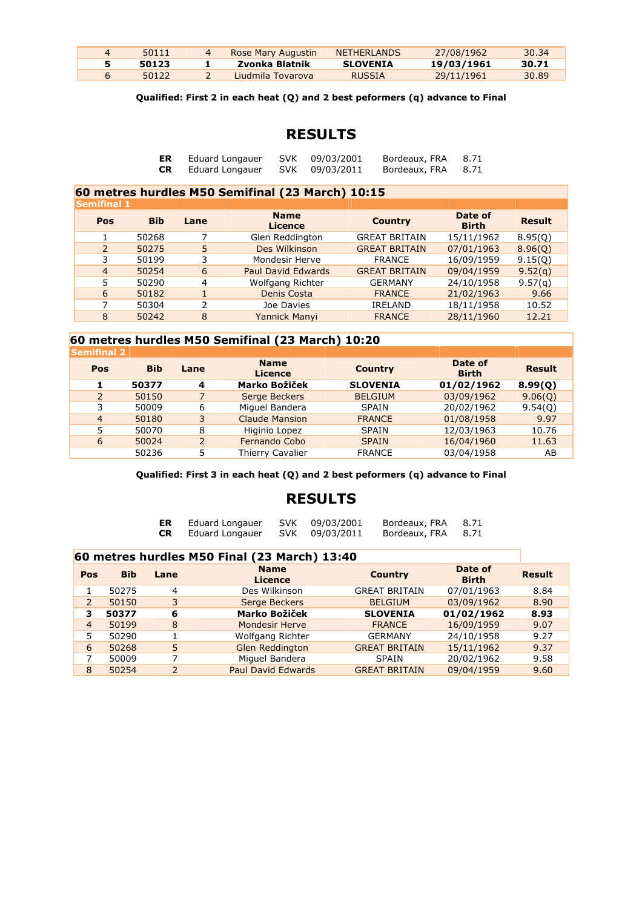| 4 | 50111 | Rose Mary Augustin | <b>NETHERLANDS</b> | 27/08/1962 | 30.34 |
|---|-------|--------------------|--------------------|------------|-------|
|   | 50123 | Zvonka Blatnik     | <b>SLOVENIA</b>    | 19/03/1961 | 30.71 |
|   | 50122 | Liudmila Tovarova  | RUSSIA             | 29/11/1961 | 30.89 |

**Qualified: First 2 in each heat (Q) and 2 best peformers (q) advance to Final** 

# **RESULTS**

| ER        | Eduard Longauer | SVK 09/03/2001 | Bordeaux, FRA | 8.71 |
|-----------|-----------------|----------------|---------------|------|
| <b>CR</b> | Eduard Longauer | SVK 09/03/2011 | Bordeaux, FRA | 8.71 |

#### **60 metres hurdles M50 Semifinal (23 March) 10:15**

| <b>Semifinal 1</b> |            |                |                               |                      |                         |               |
|--------------------|------------|----------------|-------------------------------|----------------------|-------------------------|---------------|
| Pos                | <b>Bib</b> | Lane           | <b>Name</b><br><b>Licence</b> | <b>Country</b>       | Date of<br><b>Birth</b> | <b>Result</b> |
|                    | 50268      |                | Glen Reddington               | <b>GREAT BRITAIN</b> | 15/11/1962              | 8.95(0)       |
| $\mathcal{P}$      | 50275      | 5.             | Des Wilkinson                 | <b>GREAT BRITAIN</b> | 07/01/1963              | 8.96(Q)       |
| 3                  | 50199      | 3              | Mondesir Herve                | <b>FRANCE</b>        | 16/09/1959              | 9.15(0)       |
| $\overline{4}$     | 50254      | 6              | Paul David Edwards            | <b>GREAT BRITAIN</b> | 09/04/1959              | 9.52(q)       |
| 5                  | 50290      | $\overline{4}$ | Wolfgang Richter              | <b>GERMANY</b>       | 24/10/1958              | 9.57(q)       |
| 6                  | 50182      |                | Denis Costa                   | <b>FRANCE</b>        | 21/02/1963              | 9.66          |
|                    | 50304      | 2              | Joe Davies                    | <b>IRELAND</b>       | 18/11/1958              | 10.52         |
| 8                  | 50242      | 8              | Yannick Manyi                 | <b>FRANCE</b>        | 28/11/1960              | 12.21         |

### **60 metres hurdles M50 Semifinal (23 March) 10:20**

| <b>Semifinal 2</b> |            |                |                               |                 |                         |               |
|--------------------|------------|----------------|-------------------------------|-----------------|-------------------------|---------------|
| Pos                | <b>Bib</b> | Lane           | <b>Name</b><br><b>Licence</b> | <b>Country</b>  | Date of<br><b>Birth</b> | <b>Result</b> |
|                    | 50377      | 4              | Marko Božiček                 | <b>SLOVENIA</b> | 01/02/1962              | 8.99(0)       |
| $\overline{2}$     | 50150      | 7              | Serge Beckers                 | <b>BELGIUM</b>  | 03/09/1962              | 9.06(0)       |
| 3                  | 50009      | 6              | Miguel Bandera                | <b>SPAIN</b>    | 20/02/1962              | 9.54(0)       |
| $\overline{4}$     | 50180      | 3              | <b>Claude Mansion</b>         | <b>FRANCE</b>   | 01/08/1958              | 9.97          |
| 5                  | 50070      | 8              | Higinio Lopez                 | <b>SPAIN</b>    | 12/03/1963              | 10.76         |
| 6                  | 50024      | $\overline{2}$ | Fernando Cobo                 | <b>SPAIN</b>    | 16/04/1960              | 11.63         |
|                    | 50236      | 5              | Thierry Cavalier              | <b>FRANCE</b>   | 03/04/1958              | AB            |
|                    |            |                |                               |                 |                         |               |

#### **Qualified: First 3 in each heat (Q) and 2 best peformers (q) advance to Final**

### **RESULTS**

| ER        | Eduard Longauer | SVK 09/03/2001 | Bordeaux, FRA 8.71 |      |
|-----------|-----------------|----------------|--------------------|------|
| <b>CR</b> | Eduard Longauer | SVK 09/03/2011 | Bordeaux, FRA      | 8.71 |

#### **60 metres hurdles M50 Final (23 March) 13:40**

| Pos            | <b>Bib</b> | Lane | <b>Name</b><br><b>Licence</b> | <b>Country</b>       | Date of<br><b>Birth</b> | <b>Result</b> |
|----------------|------------|------|-------------------------------|----------------------|-------------------------|---------------|
|                | 50275      | 4    | Des Wilkinson                 | <b>GREAT BRITAIN</b> | 07/01/1963              | 8.84          |
| $\overline{2}$ | 50150      | 3    | Serge Beckers                 | <b>BELGIUM</b>       | 03/09/1962              | 8.90          |
| 3              | 50377      | 6    | <b>Marko Božiček</b>          | <b>SLOVENIA</b>      | 01/02/1962              | 8.93          |
| $\overline{4}$ | 50199      | 8    | <b>Mondesir Herve</b>         | <b>FRANCE</b>        | 16/09/1959              | 9.07          |
| 5              | 50290      |      | Wolfgang Richter              | <b>GERMANY</b>       | 24/10/1958              | 9.27          |
| 6              | 50268      | 5    | <b>Glen Reddington</b>        | <b>GREAT BRITAIN</b> | 15/11/1962              | 9.37          |
|                | 50009      |      | Miguel Bandera                | <b>SPAIN</b>         | 20/02/1962              | 9.58          |
| 8              | 50254      | っ    | <b>Paul David Edwards</b>     | <b>GREAT BRITAIN</b> | 09/04/1959              | 9.60          |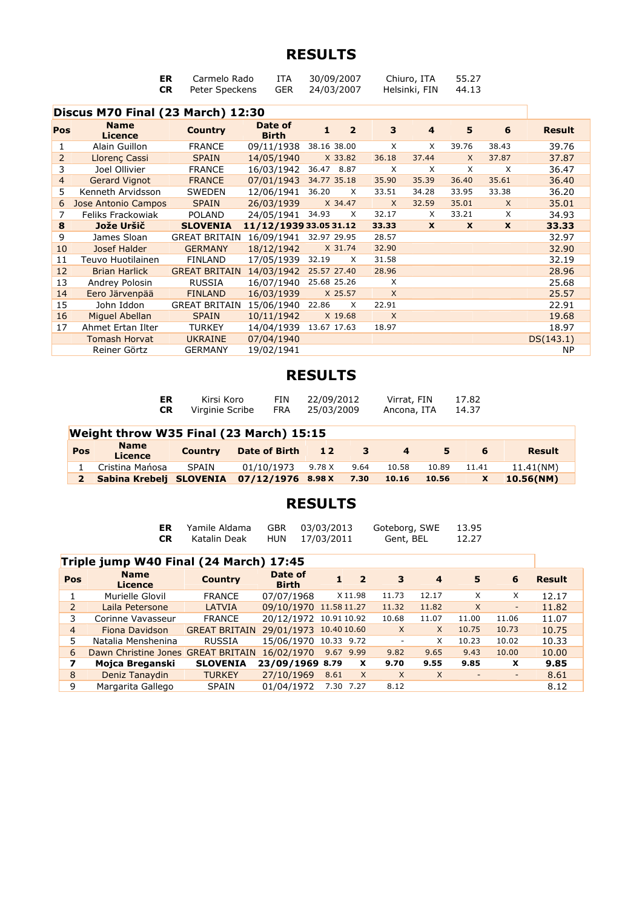| Discus M70 Final (23 March) 12:30 | ER.<br>CR. | Carmelo Rado<br>Peter Speckens GER 24/03/2007 | ITA | 30/09/2007 | Chiuro, ITA<br>Helsinki, FIN | 55.27<br>44.13 |  |
|-----------------------------------|------------|-----------------------------------------------|-----|------------|------------------------------|----------------|--|
|                                   |            |                                               |     |            |                              |                |  |

| <b>Name</b><br><b>Licence</b> | <b>Country</b>       | Date of<br><b>Birth</b> | $\overline{2}$<br>1  | 3                      | 4            | 5            | 6           | <b>Result</b> |
|-------------------------------|----------------------|-------------------------|----------------------|------------------------|--------------|--------------|-------------|---------------|
| Alain Guillon                 | <b>FRANCE</b>        | 09/11/1938              | 38.16 38.00          | X                      | X            | 39.76        | 38.43       | 39.76         |
| <b>Llorenc Cassi</b>          | <b>SPAIN</b>         | 14/05/1940              | X 33.82              | 36.18                  | 37.44        | $\times$     | 37.87       | 37.87         |
| Joel Ollivier                 | <b>FRANCE</b>        | 16/03/1942              | 36.47<br>8.87        | X                      | $\times$     | X            | X           | 36.47         |
| <b>Gerard Vignot</b>          | <b>FRANCE</b>        | 07/01/1943              | 34.77 35.18          | 35.90                  | 35.39        | 36.40        | 35.61       | 36.40         |
| Kenneth Arvidsson             | <b>SWEDEN</b>        | 12/06/1941              | 36.20<br>X           | 33.51                  | 34.28        | 33.95        | 33.38       | 36.20         |
| Jose Antonio Campos           | <b>SPAIN</b>         | 26/03/1939              | X 34.47              | $\mathsf{X}$           | 32.59        | 35.01        | $\times$    | 35.01         |
| Feliks Frackowiak             | <b>POLAND</b>        | 24/05/1941              | 34.93<br>X           | 32.17                  | X            | 33.21        | X           | 34.93         |
| Jože Uršič                    | <b>SLOVENIA</b>      |                         |                      | 33.33                  | $\mathbf{x}$ | $\mathbf{x}$ | $\mathbf x$ | 33.33         |
| James Sloan                   | <b>GREAT BRITAIN</b> | 16/09/1941              | 32.97 29.95          | 28.57                  |              |              |             | 32.97         |
| Josef Halder                  | <b>GERMANY</b>       | 18/12/1942              | X 31.74              | 32.90                  |              |              |             | 32.90         |
| Teuvo Huotilainen             | <b>FINLAND</b>       | 17/05/1939              | 32.19<br>X           | 31.58                  |              |              |             | 32.19         |
| <b>Brian Harlick</b>          |                      | 14/03/1942              | 25.57 27.40          | 28.96                  |              |              |             | 28.96         |
| Andrey Polosin                | <b>RUSSIA</b>        | 16/07/1940              | 25.68 25.26          | X                      |              |              |             | 25.68         |
| Eero Järvenpää                | <b>FINLAND</b>       | 16/03/1939              | X 25.57              | $\mathsf{X}$           |              |              |             | 25.57         |
| John Iddon                    | <b>GREAT BRITAIN</b> | 15/06/1940              | 22.86<br>X           | 22.91                  |              |              |             | 22.91         |
| Miguel Abellan                | <b>SPAIN</b>         | 10/11/1942              | X 19.68              | X                      |              |              |             | 19.68         |
| Ahmet Ertan Ilter             | <b>TURKEY</b>        | 14/04/1939              | 13.67 17.63          | 18.97                  |              |              |             | 18.97         |
| <b>Tomash Horvat</b>          | <b>UKRAINE</b>       | 07/04/1940              |                      |                        |              |              |             | DS(143.1)     |
| Reiner Görtz                  | <b>GERMANY</b>       | 19/02/1941              |                      |                        |              |              |             | <b>NP</b>     |
|                               |                      |                         | <b>GREAT BRITAIN</b> | 11/12/1939 33.05 31.12 |              |              |             |               |

# **RESULTS**

|     | ER.<br><b>CR</b>                        | Kirsi Koro<br>Virginie Scribe | <b>FIN</b><br>FRA    | 22/09/2012<br>25/03/2009 |      | Virrat, FIN<br>Ancona, ITA |       | 17.82<br>14.37 |               |  |
|-----|-----------------------------------------|-------------------------------|----------------------|--------------------------|------|----------------------------|-------|----------------|---------------|--|
|     | Weight throw W35 Final (23 March) 15:15 |                               |                      |                          |      |                            |       |                |               |  |
| Pos | <b>Name</b><br><b>Licence</b>           | <b>Country</b>                | <b>Date of Birth</b> | 12                       | 3    | $\overline{a}$             | 5.    | 6              | <b>Result</b> |  |
|     | Cristina Mańosa                         | SPAIN                         | 01/10/1973           | 9.78 X                   | 9.64 | 10.58                      | 10.89 | 11.41          | 11.41(NM)     |  |
|     | Sabina Krebelj SLOVENIA                 |                               | $07/12/1976$ 8.98 X  |                          | 7.30 | 10.16                      | 10.56 | X              | 10.56(NM)     |  |

| ER. | Yamile Aldama |     | GBR 03/03/2013 | Goteborg, SWE | 13.95 |
|-----|---------------|-----|----------------|---------------|-------|
| CR. | Katalin Deak  | HUN | 17/03/2011     | Gent, BEL     | 12.27 |

|                | Triple jump W40 Final (24 March) 17:45 |                      |                         |                      |              |              |          |                              |               |  |  |  |  |  |  |
|----------------|----------------------------------------|----------------------|-------------------------|----------------------|--------------|--------------|----------|------------------------------|---------------|--|--|--|--|--|--|
| Pos            | <b>Name</b><br><b>Licence</b>          | <b>Country</b>       | Date of<br><b>Birth</b> | 2                    | 3            | 4            | 5        | 6                            | <b>Result</b> |  |  |  |  |  |  |
|                | Murielle Glovil                        | <b>FRANCE</b>        | 07/07/1968              | X11.98               | 11.73        | 12.17        | X        | X                            | 12.17         |  |  |  |  |  |  |
| $\overline{2}$ | Laila Petersone                        | <b>LATVIA</b>        | 09/10/1970 11.58 11.27  |                      | 11.32        | 11.82        | $\times$ | $\qquad \qquad \blacksquare$ | 11.82         |  |  |  |  |  |  |
| 3              | Corinne Vavasseur                      | <b>FRANCE</b>        | 20/12/1972 10.91 10.92  |                      | 10.68        | 11.07        | 11.00    | 11.06                        | 11.07         |  |  |  |  |  |  |
| 4              | Fiona Davidson                         | <b>GREAT BRITAIN</b> | 29/01/1973 10.40 10.60  |                      | $\times$     | $\mathsf{x}$ | 10.75    | 10.73                        | 10.75         |  |  |  |  |  |  |
| 5              | Natalia Menshenina                     | <b>RUSSIA</b>        | 15/06/1970 10.33 9.72   |                      |              | X            | 10.23    | 10.02                        | 10.33         |  |  |  |  |  |  |
| 6              | Dawn Christine Jones GREAT BRITAIN     |                      | 16/02/1970              | 9.67 9.99            | 9.82         | 9.65         | 9.43     | 10.00                        | 10.00         |  |  |  |  |  |  |
| 7              | Moica Breganski                        | <b>SLOVENIA</b>      | 23/09/1969 8.79         | X                    | 9.70         | 9.55         | 9.85     | X                            | 9.85          |  |  |  |  |  |  |
| 8              | Deniz Tanaydin                         | <b>TURKEY</b>        | 27/10/1969              | $\mathsf{X}$<br>8.61 | $\mathsf{X}$ | X            |          | $\overline{\phantom{a}}$     | 8.61          |  |  |  |  |  |  |
| 9              | Margarita Gallego                      | <b>SPAIN</b>         | 01/04/1972              | 7.30 7.27            | 8.12         |              |          |                              | 8.12          |  |  |  |  |  |  |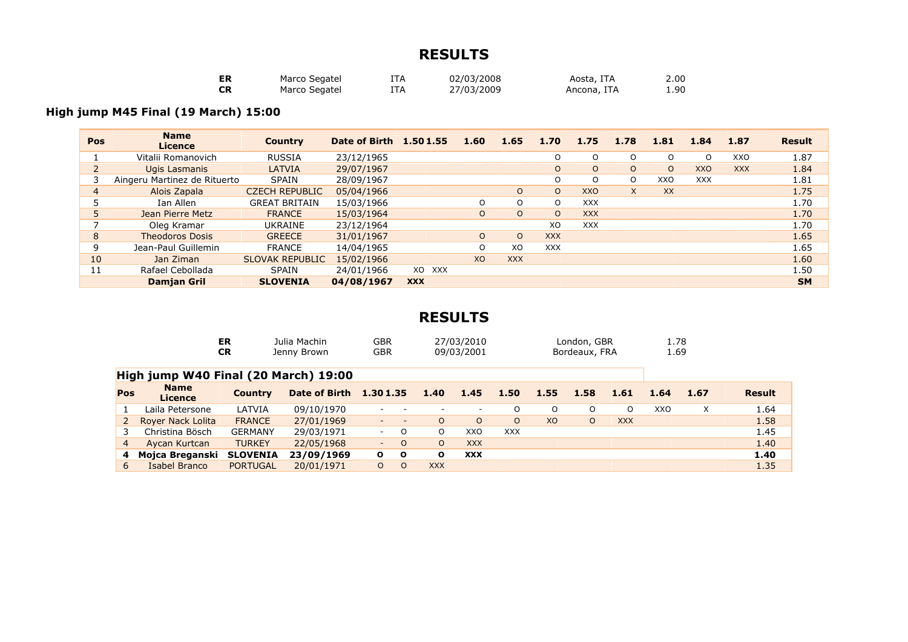| ER | Marco Segatel | [TA | 02/03/2008 | Aosta, ITA  | 2.00 |
|----|---------------|-----|------------|-------------|------|
| СR | Marco Segatel | !TA | 27/03/2009 | Ancona, ITA | 90.ء |

# **High jump M45 Final (19 March) 15:00**

| <b>Pos</b> | <b>Name</b><br><b>Licence</b> | <b>Country</b>         | Date of Birth 1.50 1.55 |            | 1.60    | 1.65       | 1.70       | 1.75       | 1.78     | 1.81      | 1.84       | 1.87       | <b>Result</b> |
|------------|-------------------------------|------------------------|-------------------------|------------|---------|------------|------------|------------|----------|-----------|------------|------------|---------------|
|            | Vitalii Romanovich            | <b>RUSSIA</b>          | 23/12/1965              |            |         |            | O          | $\Omega$   | O        | $\Omega$  | O          | XXO        | 1.87          |
|            | Ugis Lasmanis                 | <b>LATVIA</b>          | 29/07/1967              |            |         |            | $\circ$    | $\circ$    | $\circ$  | $\circ$   | <b>XXO</b> | <b>XXX</b> | 1.84          |
|            | Aingeru Martinez de Rituerto  | <b>SPAIN</b>           | 28/09/1967              |            |         |            | O          | $\Omega$   | $\Omega$ | XXO       | <b>XXX</b> |            | 1.81          |
| 4          | Alois Zapala                  | <b>CZECH REPUBLIC</b>  | 05/04/1966              |            |         | $\circ$    | $\circ$    | <b>XXO</b> | $\times$ | <b>XX</b> |            |            | 1.75          |
|            | Ian Allen                     | <b>GREAT BRITAIN</b>   | 15/03/1966              |            | O       | O          | O          | <b>XXX</b> |          |           |            |            | 1.70          |
|            | Jean Pierre Metz              | <b>FRANCE</b>          | 15/03/1964              |            | $\circ$ | $\circ$    | $\Omega$   | <b>XXX</b> |          |           |            |            | 1.70          |
|            | Oleg Kramar                   | UKRAINE                | 23/12/1964              |            |         |            | XO         | <b>XXX</b> |          |           |            |            | 1.70          |
| 8          | <b>Theodoros Dosis</b>        | <b>GREECE</b>          | 31/01/1967              |            | $\circ$ | $\circ$    | <b>XXX</b> |            |          |           |            |            | 1.65          |
| 9          | Jean-Paul Guillemin           | <b>FRANCE</b>          | 14/04/1965              |            | O       | XO         | <b>XXX</b> |            |          |           |            |            | 1.65          |
| 10         | Jan Ziman                     | <b>SLOVAK REPUBLIC</b> | 15/02/1966              |            | XO      | <b>XXX</b> |            |            |          |           |            |            | 1.60          |
| 11         | Rafael Cebollada              | <b>SPAIN</b>           | 24/01/1966              | XO XXX     |         |            |            |            |          |           |            |            | 1.50          |
|            | <b>Damjan Gril</b>            | <b>SLOVENIA</b>        | 04/08/1967              | <b>XXX</b> |         |            |            |            |          |           |            |            | <b>SM</b>     |

|                | ER<br><b>CR</b>                      |                 | Julia Machin<br>Jenny Brown | <b>GBR</b><br><b>GBR</b> |                          |                          | 27/03/2010<br>09/03/2001 |            |          | London, GBR<br>Bordeaux, FRA |            | 1.78<br>1.69 |      |               |  |
|----------------|--------------------------------------|-----------------|-----------------------------|--------------------------|--------------------------|--------------------------|--------------------------|------------|----------|------------------------------|------------|--------------|------|---------------|--|
|                | High jump W40 Final (20 March) 19:00 |                 |                             |                          |                          |                          |                          |            |          |                              |            |              |      |               |  |
| Pos            | <b>Name</b><br>Licence               | <b>Country</b>  | <b>Date of Birth</b>        | 1.301.35                 |                          | 1.40                     | 1.45                     | 1.50       | 1.55     | 1.58                         | 1.61       | 1.64         | 1.67 | <b>Result</b> |  |
|                | Laila Petersone                      | LATVIA          | 09/10/1970                  | $\overline{\phantom{a}}$ |                          | $\overline{\phantom{a}}$ | $\overline{\phantom{a}}$ | O          | $\Omega$ | $\Omega$                     | $\Omega$   | <b>XXO</b>   | X    | 1.64          |  |
|                | Royer Nack Lolita                    | <b>FRANCE</b>   | 27/01/1969                  | $\overline{\phantom{a}}$ | $\overline{\phantom{a}}$ | $\Omega$                 | $\Omega$                 | $\circ$    | XO       | $\Omega$                     | <b>XXX</b> |              |      | 1.58          |  |
|                | Christina Bösch                      | <b>GERMANY</b>  | 29/03/1971                  | $\overline{\phantom{a}}$ | $\Omega$                 | $\Omega$                 | <b>XXO</b>               | <b>XXX</b> |          |                              |            |              |      | 1.45          |  |
| $\overline{4}$ | Aycan Kurtcan                        | <b>TURKEY</b>   | 22/05/1968                  | $\overline{\phantom{a}}$ | $\Omega$                 | O                        | <b>XXX</b>               |            |          |                              |            |              |      | 1.40          |  |
| 4              | Mojca Breganski                      | <b>SLOVENIA</b> | 23/09/1969                  | $\mathbf{o}$             | $\mathbf{o}$             | O                        | <b>XXX</b>               |            |          |                              |            |              |      | 1.40          |  |
| 6              | Isabel Branco                        | <b>PORTUGAL</b> | 20/01/1971                  | $\circ$                  | $\circ$                  | <b>XXX</b>               |                          |            |          |                              |            |              |      | 1.35          |  |